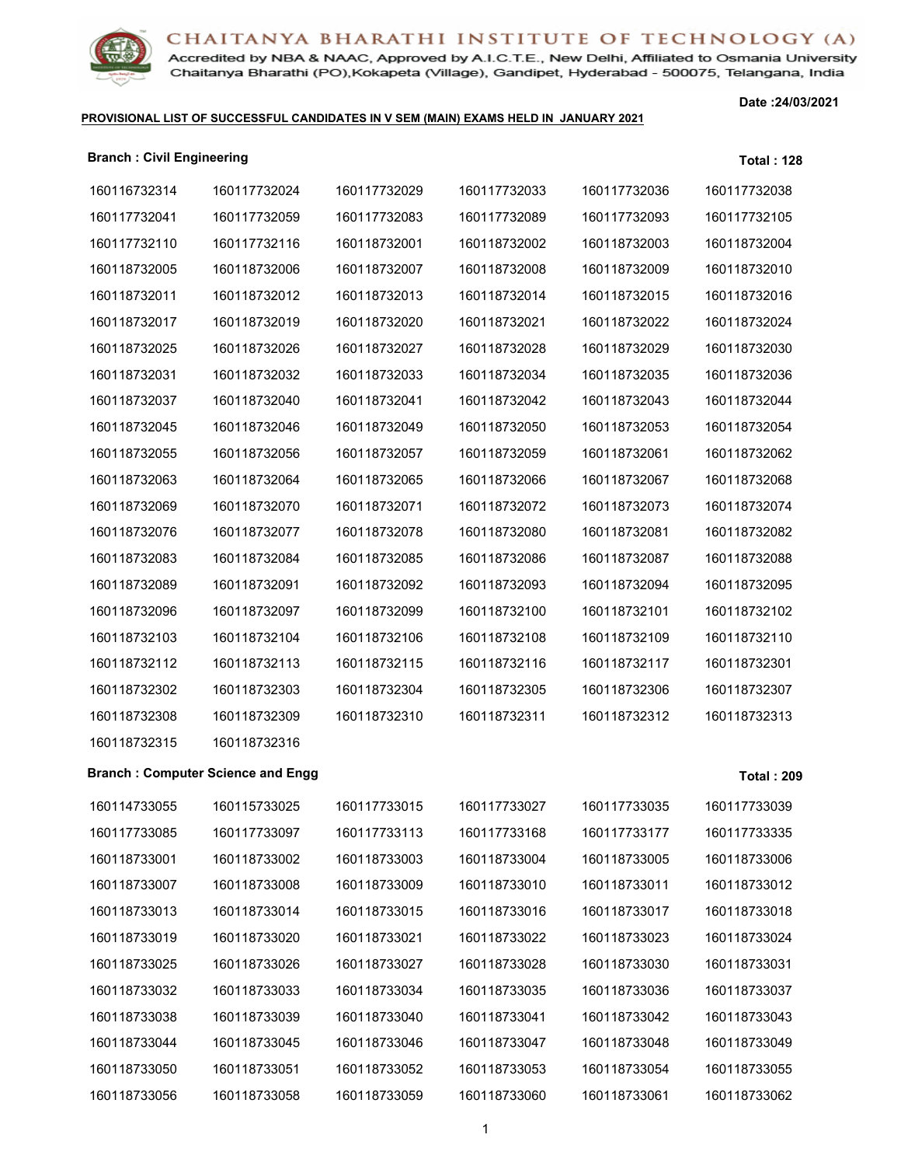

Accredited by NBA & NAAC, Approved by A.I.C.T.E., New Delhi, Affiliated to Osmania University Chaitanya Bharathi (PO), Kokapeta (Village), Gandipet, Hyderabad - 500075, Telangana, India

#### **PROVISIONAL LIST OF SUCCESSFUL CANDIDATES IN V SEM (MAIN) EXAMS HELD IN JANUARY 2021**

**Date :24/03/2021**

| <b>Branch: Civil Engineering</b> |                                          |              |              |              | <b>Total: 128</b> |
|----------------------------------|------------------------------------------|--------------|--------------|--------------|-------------------|
| 160116732314                     | 160117732024                             | 160117732029 | 160117732033 | 160117732036 | 160117732038      |
| 160117732041                     | 160117732059                             | 160117732083 | 160117732089 | 160117732093 | 160117732105      |
| 160117732110                     | 160117732116                             | 160118732001 | 160118732002 | 160118732003 | 160118732004      |
| 160118732005                     | 160118732006                             | 160118732007 | 160118732008 | 160118732009 | 160118732010      |
| 160118732011                     | 160118732012                             | 160118732013 | 160118732014 | 160118732015 | 160118732016      |
| 160118732017                     | 160118732019                             | 160118732020 | 160118732021 | 160118732022 | 160118732024      |
| 160118732025                     | 160118732026                             | 160118732027 | 160118732028 | 160118732029 | 160118732030      |
| 160118732031                     | 160118732032                             | 160118732033 | 160118732034 | 160118732035 | 160118732036      |
| 160118732037                     | 160118732040                             | 160118732041 | 160118732042 | 160118732043 | 160118732044      |
| 160118732045                     | 160118732046                             | 160118732049 | 160118732050 | 160118732053 | 160118732054      |
| 160118732055                     | 160118732056                             | 160118732057 | 160118732059 | 160118732061 | 160118732062      |
| 160118732063                     | 160118732064                             | 160118732065 | 160118732066 | 160118732067 | 160118732068      |
| 160118732069                     | 160118732070                             | 160118732071 | 160118732072 | 160118732073 | 160118732074      |
| 160118732076                     | 160118732077                             | 160118732078 | 160118732080 | 160118732081 | 160118732082      |
| 160118732083                     | 160118732084                             | 160118732085 | 160118732086 | 160118732087 | 160118732088      |
| 160118732089                     | 160118732091                             | 160118732092 | 160118732093 | 160118732094 | 160118732095      |
| 160118732096                     | 160118732097                             | 160118732099 | 160118732100 | 160118732101 | 160118732102      |
| 160118732103                     | 160118732104                             | 160118732106 | 160118732108 | 160118732109 | 160118732110      |
| 160118732112                     | 160118732113                             | 160118732115 | 160118732116 | 160118732117 | 160118732301      |
| 160118732302                     | 160118732303                             | 160118732304 | 160118732305 | 160118732306 | 160118732307      |
| 160118732308                     | 160118732309                             | 160118732310 | 160118732311 | 160118732312 | 160118732313      |
| 160118732315                     | 160118732316                             |              |              |              |                   |
|                                  | <b>Branch: Computer Science and Engg</b> |              |              |              | <b>Total: 209</b> |
| 160114733055                     | 160115733025                             | 160117733015 | 160117733027 | 160117733035 | 160117733039      |
| 160117733085                     | 160117733097                             | 160117733113 | 160117733168 | 160117733177 | 160117733335      |
| 160118733001                     | 160118733002                             | 160118733003 | 160118733004 | 160118733005 | 160118733006      |
| 160118733007                     | 160118733008                             | 160118733009 | 160118733010 | 160118733011 | 160118733012      |
| 160118733013                     | 160118733014                             | 160118733015 | 160118733016 | 160118733017 | 160118733018      |
| 160118733019                     | 160118733020                             | 160118733021 | 160118733022 | 160118733023 | 160118733024      |
| 160118733025                     | 160118733026                             | 160118733027 | 160118733028 | 160118733030 | 160118733031      |
| 160118733032                     | 160118733033                             | 160118733034 | 160118733035 | 160118733036 | 160118733037      |
| 160118733038                     | 160118733039                             | 160118733040 | 160118733041 | 160118733042 | 160118733043      |
| 160118733044                     | 160118733045                             | 160118733046 | 160118733047 | 160118733048 | 160118733049      |
| 160118733050                     | 160118733051                             | 160118733052 | 160118733053 | 160118733054 | 160118733055      |

160118733058 160118733059 160118733060 160118733061 160118733062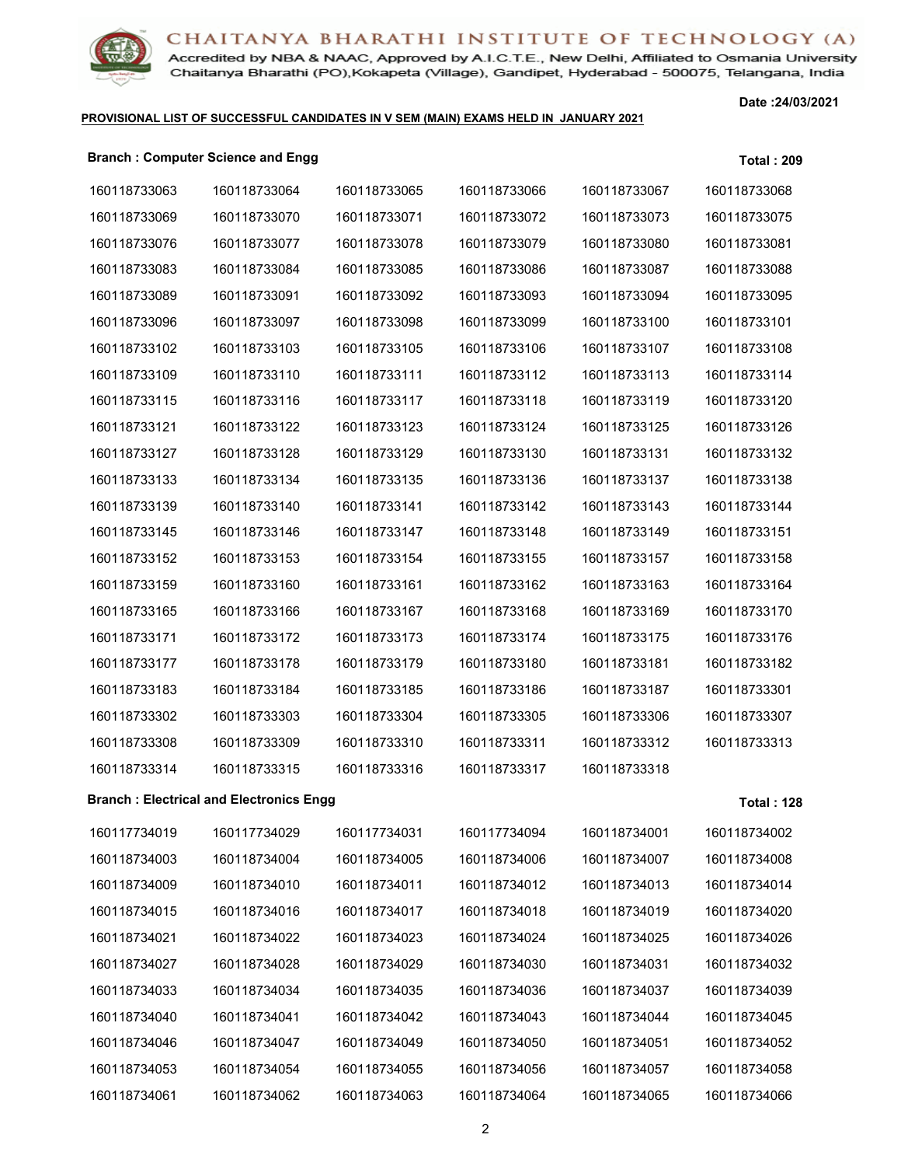

Accredited by NBA & NAAC, Approved by A.I.C.T.E., New Delhi, Affiliated to Osmania University Chaitanya Bharathi (PO), Kokapeta (Village), Gandipet, Hyderabad - 500075, Telangana, India

#### **PROVISIONAL LIST OF SUCCESSFUL CANDIDATES IN V SEM (MAIN) EXAMS HELD IN JANUARY 2021**

**Date :24/03/2021**

#### **Branch : Computer Science and Engg Total : 209**

| 160118733063 | 160118733064                                   | 160118733065 | 160118733066 | 160118733067 | 160118733068      |
|--------------|------------------------------------------------|--------------|--------------|--------------|-------------------|
| 160118733069 | 160118733070                                   | 160118733071 | 160118733072 | 160118733073 | 160118733075      |
| 160118733076 | 160118733077                                   | 160118733078 | 160118733079 | 160118733080 | 160118733081      |
| 160118733083 | 160118733084                                   | 160118733085 | 160118733086 | 160118733087 | 160118733088      |
| 160118733089 | 160118733091                                   | 160118733092 | 160118733093 | 160118733094 | 160118733095      |
| 160118733096 | 160118733097                                   | 160118733098 | 160118733099 | 160118733100 | 160118733101      |
| 160118733102 | 160118733103                                   | 160118733105 | 160118733106 | 160118733107 | 160118733108      |
| 160118733109 | 160118733110                                   | 160118733111 | 160118733112 | 160118733113 | 160118733114      |
| 160118733115 | 160118733116                                   | 160118733117 | 160118733118 | 160118733119 | 160118733120      |
| 160118733121 | 160118733122                                   | 160118733123 | 160118733124 | 160118733125 | 160118733126      |
| 160118733127 | 160118733128                                   | 160118733129 | 160118733130 | 160118733131 | 160118733132      |
| 160118733133 | 160118733134                                   | 160118733135 | 160118733136 | 160118733137 | 160118733138      |
| 160118733139 | 160118733140                                   | 160118733141 | 160118733142 | 160118733143 | 160118733144      |
| 160118733145 | 160118733146                                   | 160118733147 | 160118733148 | 160118733149 | 160118733151      |
| 160118733152 | 160118733153                                   | 160118733154 | 160118733155 | 160118733157 | 160118733158      |
| 160118733159 | 160118733160                                   | 160118733161 | 160118733162 | 160118733163 | 160118733164      |
| 160118733165 | 160118733166                                   | 160118733167 | 160118733168 | 160118733169 | 160118733170      |
| 160118733171 | 160118733172                                   | 160118733173 | 160118733174 | 160118733175 | 160118733176      |
| 160118733177 | 160118733178                                   | 160118733179 | 160118733180 | 160118733181 | 160118733182      |
| 160118733183 | 160118733184                                   | 160118733185 | 160118733186 | 160118733187 | 160118733301      |
| 160118733302 | 160118733303                                   | 160118733304 | 160118733305 | 160118733306 | 160118733307      |
| 160118733308 | 160118733309                                   | 160118733310 | 160118733311 | 160118733312 | 160118733313      |
| 160118733314 | 160118733315                                   | 160118733316 | 160118733317 | 160118733318 |                   |
|              | <b>Branch: Electrical and Electronics Engg</b> |              |              |              | <b>Total: 128</b> |
| 160117734019 | 160117734029                                   | 160117734031 | 160117734094 | 160118734001 | 160118734002      |
| 160118734003 | 160118734004                                   | 160118734005 | 160118734006 | 160118734007 | 160118734008      |
| 160118734009 | 160118734010                                   | 160118734011 | 160118734012 | 160118734013 | 160118734014      |
| 160118734015 | 160118734016                                   | 160118734017 | 160118734018 | 160118734019 | 160118734020      |
| 160118734021 | 160118734022                                   | 160118734023 | 160118734024 | 160118734025 | 160118734026      |
| 160118734027 | 160118734028                                   | 160118734029 | 160118734030 | 160118734031 | 160118734032      |
| 160118734033 | 160118734034                                   | 160118734035 | 160118734036 | 160118734037 | 160118734039      |
| 160118734040 | 160118734041                                   | 160118734042 | 160118734043 | 160118734044 | 160118734045      |
| 160118734046 | 160118734047                                   | 160118734049 | 160118734050 | 160118734051 | 160118734052      |
| 160118734053 | 160118734054                                   | 160118734055 | 160118734056 | 160118734057 | 160118734058      |
| 160118734061 | 160118734062                                   | 160118734063 | 160118734064 | 160118734065 | 160118734066      |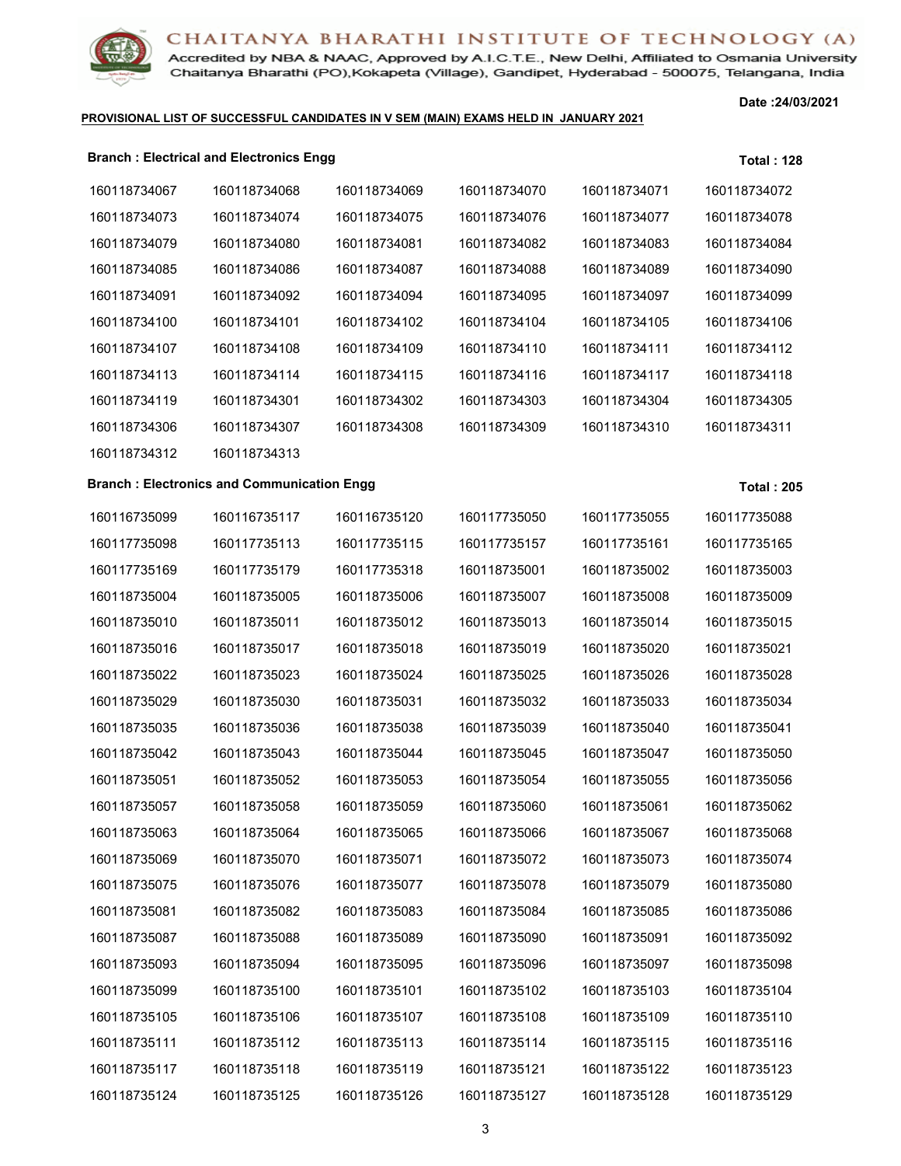

Accredited by NBA & NAAC, Approved by A.I.C.T.E., New Delhi, Affiliated to Osmania University Chaitanya Bharathi (PO), Kokapeta (Village), Gandipet, Hyderabad - 500075, Telangana, India

#### **PROVISIONAL LIST OF SUCCESSFUL CANDIDATES IN V SEM (MAIN) EXAMS HELD IN JANUARY 2021**

**Date :24/03/2021**

|              | <b>Branch: Electrical and Electronics Engg</b> |              |              |              | <b>Total: 128</b> |
|--------------|------------------------------------------------|--------------|--------------|--------------|-------------------|
| 160118734067 | 160118734068                                   | 160118734069 | 160118734070 | 160118734071 | 160118734072      |
| 160118734073 | 160118734074                                   | 160118734075 | 160118734076 | 160118734077 | 160118734078      |
| 160118734079 | 160118734080                                   | 160118734081 | 160118734082 | 160118734083 | 160118734084      |
| 160118734085 | 160118734086                                   | 160118734087 | 160118734088 | 160118734089 | 160118734090      |
| 160118734091 | 160118734092                                   | 160118734094 | 160118734095 | 160118734097 | 160118734099      |
| 160118734100 | 160118734101                                   | 160118734102 | 160118734104 | 160118734105 | 160118734106      |
| 160118734107 | 160118734108                                   | 160118734109 | 160118734110 | 160118734111 | 160118734112      |
| 160118734113 | 160118734114                                   | 160118734115 | 160118734116 | 160118734117 | 160118734118      |
| 160118734119 | 160118734301                                   | 160118734302 | 160118734303 | 160118734304 | 160118734305      |
| 160118734306 | 160118734307                                   | 160118734308 | 160118734309 | 160118734310 | 160118734311      |
| 160118734312 | 160118734313                                   |              |              |              |                   |

#### **Branch : Electronics and Communication Engg Total : 205**

| 160116735099 | 160116735117 | 160116735120 | 160117735050 | 160117735055 | 160117735088 |
|--------------|--------------|--------------|--------------|--------------|--------------|
| 160117735098 | 160117735113 | 160117735115 | 160117735157 | 160117735161 | 160117735165 |
| 160117735169 | 160117735179 | 160117735318 | 160118735001 | 160118735002 | 160118735003 |
| 160118735004 | 160118735005 | 160118735006 | 160118735007 | 160118735008 | 160118735009 |
| 160118735010 | 160118735011 | 160118735012 | 160118735013 | 160118735014 | 160118735015 |
| 160118735016 | 160118735017 | 160118735018 | 160118735019 | 160118735020 | 160118735021 |
| 160118735022 | 160118735023 | 160118735024 | 160118735025 | 160118735026 | 160118735028 |
| 160118735029 | 160118735030 | 160118735031 | 160118735032 | 160118735033 | 160118735034 |
| 160118735035 | 160118735036 | 160118735038 | 160118735039 | 160118735040 | 160118735041 |
| 160118735042 | 160118735043 | 160118735044 | 160118735045 | 160118735047 | 160118735050 |
| 160118735051 | 160118735052 | 160118735053 | 160118735054 | 160118735055 | 160118735056 |
| 160118735057 | 160118735058 | 160118735059 | 160118735060 | 160118735061 | 160118735062 |
| 160118735063 | 160118735064 | 160118735065 | 160118735066 | 160118735067 | 160118735068 |
| 160118735069 | 160118735070 | 160118735071 | 160118735072 | 160118735073 | 160118735074 |
| 160118735075 | 160118735076 | 160118735077 | 160118735078 | 160118735079 | 160118735080 |
| 160118735081 | 160118735082 | 160118735083 | 160118735084 | 160118735085 | 160118735086 |
| 160118735087 | 160118735088 | 160118735089 | 160118735090 | 160118735091 | 160118735092 |
| 160118735093 | 160118735094 | 160118735095 | 160118735096 | 160118735097 | 160118735098 |
| 160118735099 | 160118735100 | 160118735101 | 160118735102 | 160118735103 | 160118735104 |
| 160118735105 | 160118735106 | 160118735107 | 160118735108 | 160118735109 | 160118735110 |
| 160118735111 | 160118735112 | 160118735113 | 160118735114 | 160118735115 | 160118735116 |
| 160118735117 | 160118735118 | 160118735119 | 160118735121 | 160118735122 | 160118735123 |
| 160118735124 | 160118735125 | 160118735126 | 160118735127 | 160118735128 | 160118735129 |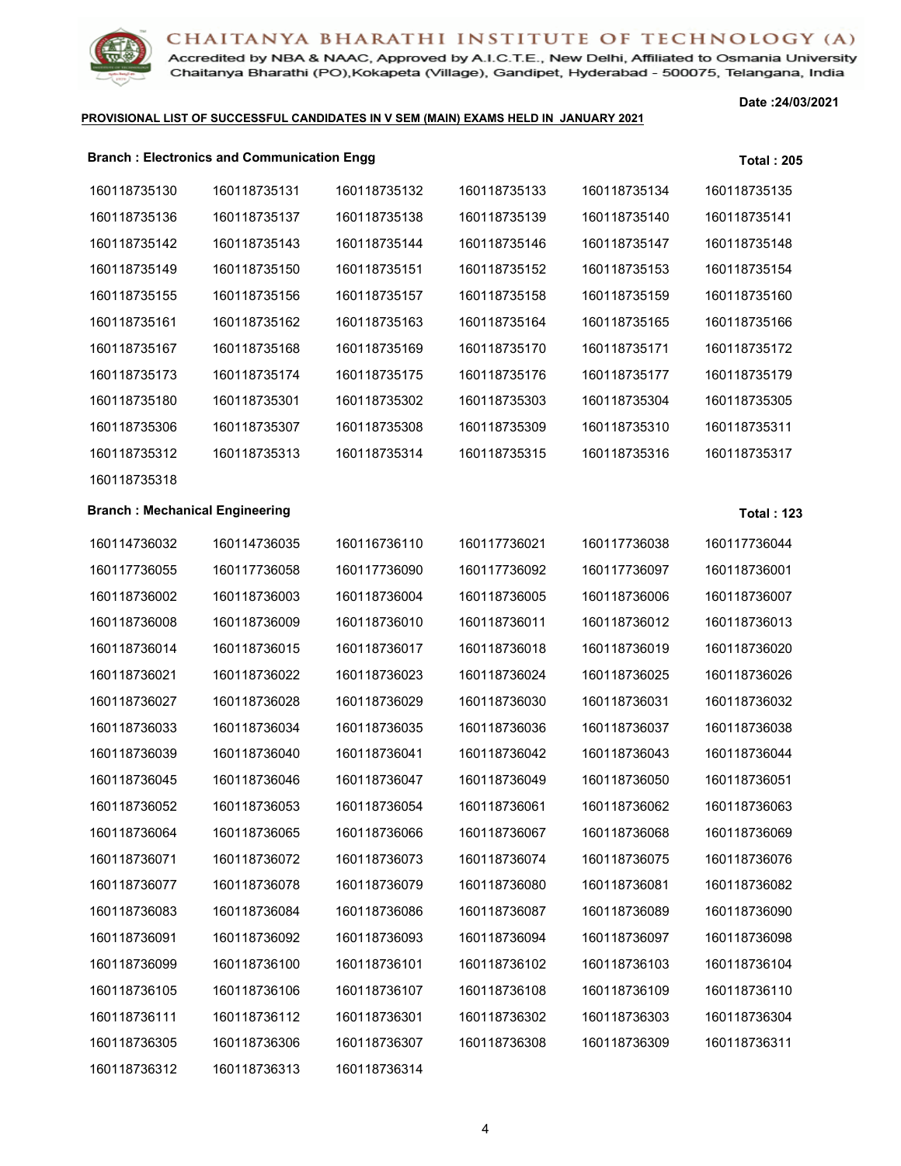

Accredited by NBA & NAAC, Approved by A.I.C.T.E., New Delhi, Affiliated to Osmania University Chaitanya Bharathi (PO), Kokapeta (Village), Gandipet, Hyderabad - 500075, Telangana, India

#### **PROVISIONAL LIST OF SUCCESSFUL CANDIDATES IN V SEM (MAIN) EXAMS HELD IN JANUARY 2021**

**Date :24/03/2021**

|              | <b>Branch: Electronics and Communication Engg</b> |              |              |              | <b>Total: 205</b> |
|--------------|---------------------------------------------------|--------------|--------------|--------------|-------------------|
| 160118735130 | 160118735131                                      | 160118735132 | 160118735133 | 160118735134 | 160118735135      |
| 160118735136 | 160118735137                                      | 160118735138 | 160118735139 | 160118735140 | 160118735141      |
| 160118735142 | 160118735143                                      | 160118735144 | 160118735146 | 160118735147 | 160118735148      |
| 160118735149 | 160118735150                                      | 160118735151 | 160118735152 | 160118735153 | 160118735154      |
| 160118735155 | 160118735156                                      | 160118735157 | 160118735158 | 160118735159 | 160118735160      |
| 160118735161 | 160118735162                                      | 160118735163 | 160118735164 | 160118735165 | 160118735166      |
| 160118735167 | 160118735168                                      | 160118735169 | 160118735170 | 160118735171 | 160118735172      |
| 160118735173 | 160118735174                                      | 160118735175 | 160118735176 | 160118735177 | 160118735179      |
| 160118735180 | 160118735301                                      | 160118735302 | 160118735303 | 160118735304 | 160118735305      |
| 160118735306 | 160118735307                                      | 160118735308 | 160118735309 | 160118735310 | 160118735311      |
| 160118735312 | 160118735313                                      | 160118735314 | 160118735315 | 160118735316 | 160118735317      |
|              |                                                   |              |              |              |                   |

## **Branch : Mechanical Engineering**  Total : 123

| 160114736032 | 160114736035 | 160116736110 | 160117736021 | 160117736038 | 160117736044 |
|--------------|--------------|--------------|--------------|--------------|--------------|
| 160117736055 | 160117736058 | 160117736090 | 160117736092 | 160117736097 | 160118736001 |
| 160118736002 | 160118736003 | 160118736004 | 160118736005 | 160118736006 | 160118736007 |
| 160118736008 | 160118736009 | 160118736010 | 160118736011 | 160118736012 | 160118736013 |
| 160118736014 | 160118736015 | 160118736017 | 160118736018 | 160118736019 | 160118736020 |
| 160118736021 | 160118736022 | 160118736023 | 160118736024 | 160118736025 | 160118736026 |
| 160118736027 | 160118736028 | 160118736029 | 160118736030 | 160118736031 | 160118736032 |
| 160118736033 | 160118736034 | 160118736035 | 160118736036 | 160118736037 | 160118736038 |
| 160118736039 | 160118736040 | 160118736041 | 160118736042 | 160118736043 | 160118736044 |
| 160118736045 | 160118736046 | 160118736047 | 160118736049 | 160118736050 | 160118736051 |
| 160118736052 | 160118736053 | 160118736054 | 160118736061 | 160118736062 | 160118736063 |
| 160118736064 | 160118736065 | 160118736066 | 160118736067 | 160118736068 | 160118736069 |
| 160118736071 | 160118736072 | 160118736073 | 160118736074 | 160118736075 | 160118736076 |
| 160118736077 | 160118736078 | 160118736079 | 160118736080 | 160118736081 | 160118736082 |
| 160118736083 | 160118736084 | 160118736086 | 160118736087 | 160118736089 | 160118736090 |
| 160118736091 | 160118736092 | 160118736093 | 160118736094 | 160118736097 | 160118736098 |
| 160118736099 | 160118736100 | 160118736101 | 160118736102 | 160118736103 | 160118736104 |
| 160118736105 | 160118736106 | 160118736107 | 160118736108 | 160118736109 | 160118736110 |
| 160118736111 | 160118736112 | 160118736301 | 160118736302 | 160118736303 | 160118736304 |
| 160118736305 | 160118736306 | 160118736307 | 160118736308 | 160118736309 | 160118736311 |
| 160118736312 | 160118736313 | 160118736314 |              |              |              |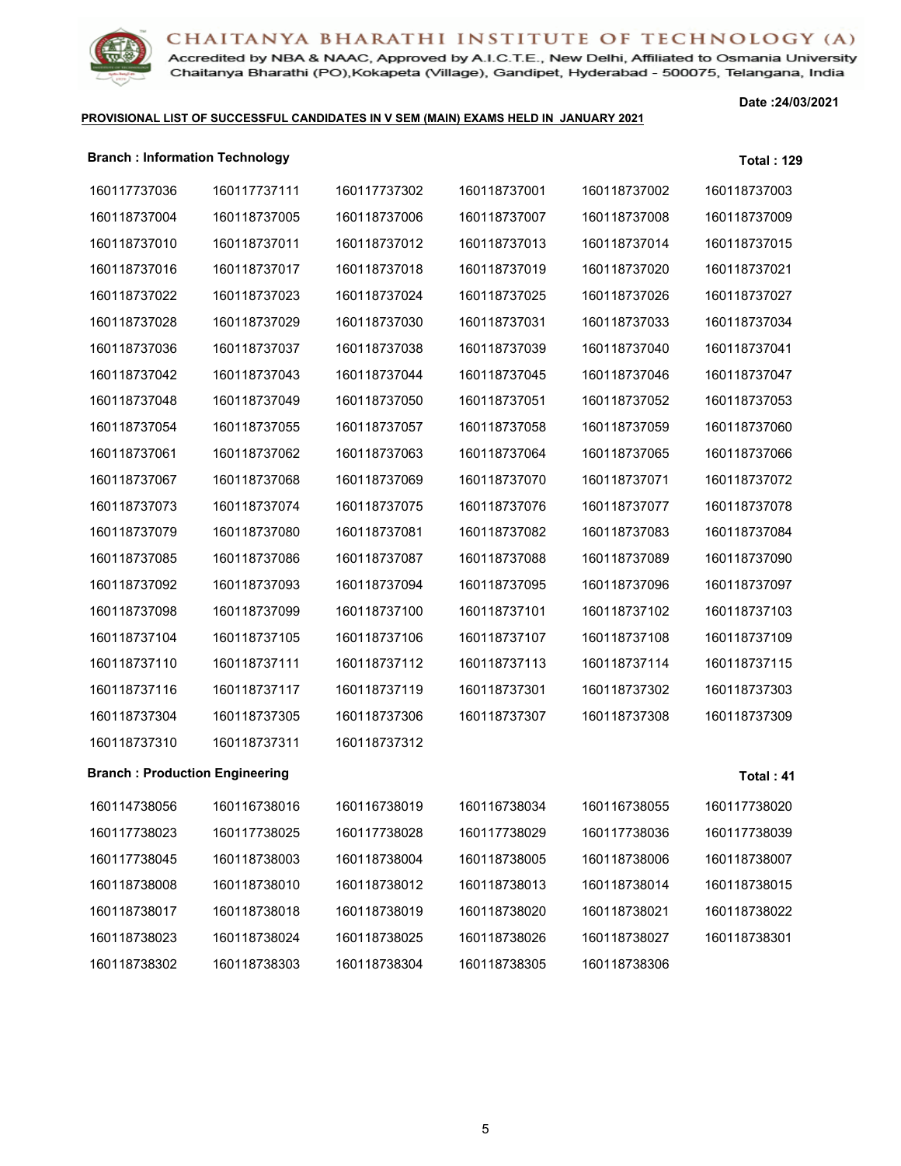

Accredited by NBA & NAAC, Approved by A.I.C.T.E., New Delhi, Affiliated to Osmania University Chaitanya Bharathi (PO), Kokapeta (Village), Gandipet, Hyderabad - 500075, Telangana, India

#### **PROVISIONAL LIST OF SUCCESSFUL CANDIDATES IN V SEM (MAIN) EXAMS HELD IN JANUARY 2021**

**Date :24/03/2021**

| <b>Branch: Information Technology</b> |              |              |              |              | <b>Total: 129</b> |
|---------------------------------------|--------------|--------------|--------------|--------------|-------------------|
| 160117737036                          | 160117737111 | 160117737302 | 160118737001 | 160118737002 | 160118737003      |
| 160118737004                          | 160118737005 | 160118737006 | 160118737007 | 160118737008 | 160118737009      |
| 160118737010                          | 160118737011 | 160118737012 | 160118737013 | 160118737014 | 160118737015      |
| 160118737016                          | 160118737017 | 160118737018 | 160118737019 | 160118737020 | 160118737021      |
| 160118737022                          | 160118737023 | 160118737024 | 160118737025 | 160118737026 | 160118737027      |
| 160118737028                          | 160118737029 | 160118737030 | 160118737031 | 160118737033 | 160118737034      |
| 160118737036                          | 160118737037 | 160118737038 | 160118737039 | 160118737040 | 160118737041      |
| 160118737042                          | 160118737043 | 160118737044 | 160118737045 | 160118737046 | 160118737047      |
| 160118737048                          | 160118737049 | 160118737050 | 160118737051 | 160118737052 | 160118737053      |
| 160118737054                          | 160118737055 | 160118737057 | 160118737058 | 160118737059 | 160118737060      |
| 160118737061                          | 160118737062 | 160118737063 | 160118737064 | 160118737065 | 160118737066      |
| 160118737067                          | 160118737068 | 160118737069 | 160118737070 | 160118737071 | 160118737072      |
| 160118737073                          | 160118737074 | 160118737075 | 160118737076 | 160118737077 | 160118737078      |
| 160118737079                          | 160118737080 | 160118737081 | 160118737082 | 160118737083 | 160118737084      |
| 160118737085                          | 160118737086 | 160118737087 | 160118737088 | 160118737089 | 160118737090      |
| 160118737092                          | 160118737093 | 160118737094 | 160118737095 | 160118737096 | 160118737097      |
| 160118737098                          | 160118737099 | 160118737100 | 160118737101 | 160118737102 | 160118737103      |
| 160118737104                          | 160118737105 | 160118737106 | 160118737107 | 160118737108 | 160118737109      |
| 160118737110                          | 160118737111 | 160118737112 | 160118737113 | 160118737114 | 160118737115      |
| 160118737116                          | 160118737117 | 160118737119 | 160118737301 | 160118737302 | 160118737303      |
| 160118737304                          | 160118737305 | 160118737306 | 160118737307 | 160118737308 | 160118737309      |
| 160118737310                          | 160118737311 | 160118737312 |              |              |                   |
| <b>Branch: Production Engineering</b> |              |              |              |              | Total: 41         |
| 160114738056                          | 160116738016 | 160116738019 | 160116738034 | 160116738055 | 160117738020      |
| 160117738023                          | 160117738025 | 160117738028 | 160117738029 | 160117738036 | 160117738039      |
| 160117738045                          | 160118738003 | 160118738004 | 160118738005 | 160118738006 | 160118738007      |
| 160118738008                          | 160118738010 | 160118738012 | 160118738013 | 160118738014 | 160118738015      |
| 160118738017                          | 160118738018 | 160118738019 | 160118738020 | 160118738021 | 160118738022      |
| 160118738023                          | 160118738024 | 160118738025 | 160118738026 | 160118738027 | 160118738301      |
| 160118738302                          | 160118738303 | 160118738304 | 160118738305 | 160118738306 |                   |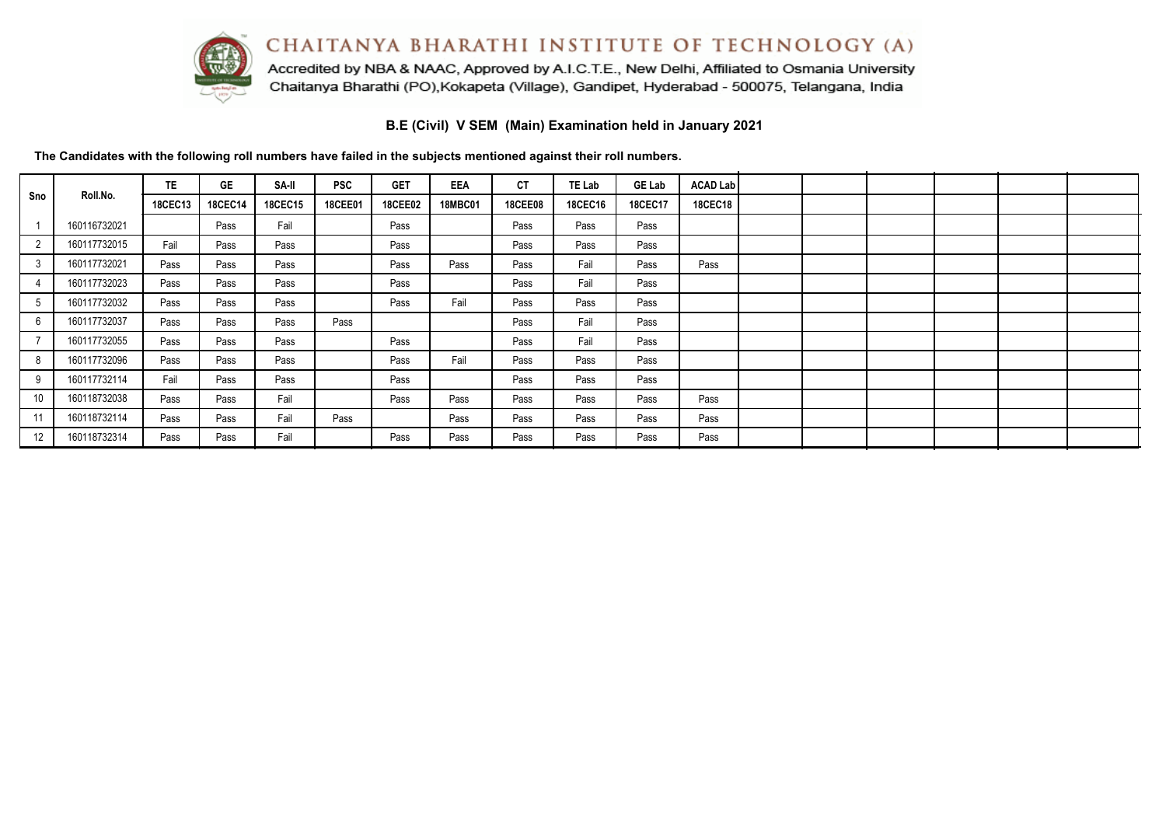

Accredited by NBA & NAAC, Approved by A.I.C.T.E., New Delhi, Affiliated to Osmania University Chaitanya Bharathi (PO), Kokapeta (Village), Gandipet, Hyderabad - 500075, Telangana, India

**B.E (Civil) V SEM (Main) Examination held in January 2021**

|                 |              | TE.     | <b>GE</b>      | SA-II   | <b>PSC</b> | <b>GET</b>     | <b>EEA</b>     | <b>CT</b>      | TE Lab         | <b>GE Lab</b>  | <b>ACAD Lab</b> |  |  |  |
|-----------------|--------------|---------|----------------|---------|------------|----------------|----------------|----------------|----------------|----------------|-----------------|--|--|--|
| Sno             | Roll.No.     | 18CEC13 | <b>18CEC14</b> | 18CEC15 | 18CEE01    | <b>18CEE02</b> | <b>18MBC01</b> | <b>18CEE08</b> | <b>18CEC16</b> | <b>18CEC17</b> | <b>18CEC18</b>  |  |  |  |
|                 | 160116732021 |         | Pass           | Fail    |            | Pass           |                | Pass           | Pass           | Pass           |                 |  |  |  |
|                 | 160117732015 | Fail    | Pass           | Pass    |            | Pass           |                | Pass           | Pass           | Pass           |                 |  |  |  |
| 3               | 160117732021 | Pass    | Pass           | Pass    |            | Pass           | Pass           | Pass           | Fail           | Pass           | Pass            |  |  |  |
|                 | 160117732023 | Pass    | Pass           | Pass    |            | Pass           |                | Pass           | Fail           | Pass           |                 |  |  |  |
|                 | 160117732032 | Pass    | Pass           | Pass    |            | Pass           | Fail           | Pass           | Pass           | Pass           |                 |  |  |  |
| $6\overline{6}$ | 160117732037 | Pass    | Pass           | Pass    | Pass       |                |                | Pass           | Fail           | Pass           |                 |  |  |  |
|                 | 160117732055 | Pass    | Pass           | Pass    |            | Pass           |                | Pass           | Fail           | Pass           |                 |  |  |  |
| 8               | 160117732096 | Pass    | Pass           | Pass    |            | Pass           | Fail           | Pass           | Pass           | Pass           |                 |  |  |  |
| 9               | 160117732114 | Fail    | Pass           | Pass    |            | Pass           |                | Pass           | Pass           | Pass           |                 |  |  |  |
| 10 <sup>°</sup> | 160118732038 | Pass    | Pass           | Fail    |            | Pass           | Pass           | Pass           | Pass           | Pass           | Pass            |  |  |  |
| 11              | 160118732114 | Pass    | Pass           | Fail    | Pass       |                | Pass           | Pass           | Pass           | Pass           | Pass            |  |  |  |
| 12              | 160118732314 | Pass    | Pass           | Fail    |            | Pass           | Pass           | Pass           | Pass           | Pass           | Pass            |  |  |  |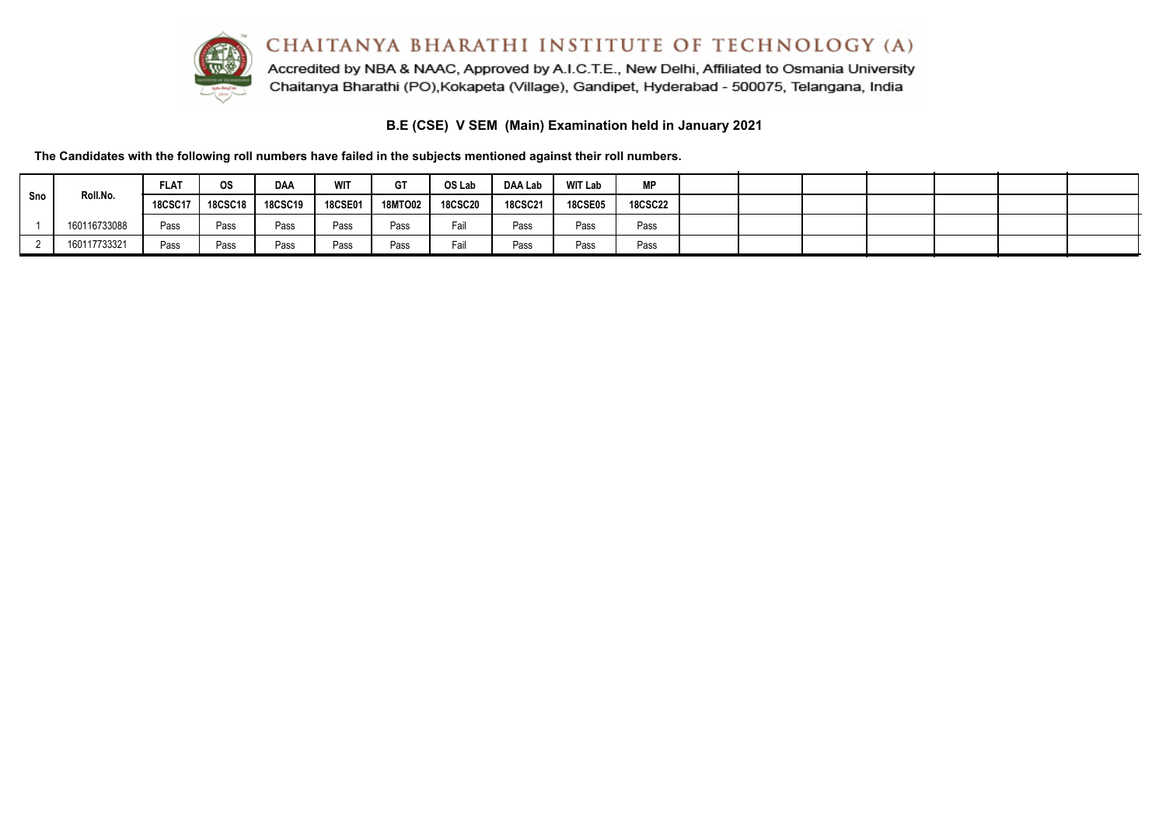

Accredited by NBA & NAAC, Approved by A.I.C.T.E., New Delhi, Affiliated to Osmania University Chaitanya Bharathi (PO), Kokapeta (Village), Gandipet, Hyderabad - 500075, Telangana, India

**B.E (CSE) V SEM (Main) Examination held in January 2021**

|     |              | <b>FLAT</b>    | <b>OS</b>      | <b>DAA</b>     | <b>WIT</b>     | <b>GT</b>      | OS Lab         | DAA Lab        | <b>WIT Lab</b> | <b>MP</b>      |  |  |  |  |
|-----|--------------|----------------|----------------|----------------|----------------|----------------|----------------|----------------|----------------|----------------|--|--|--|--|
| Sno | Roll.No.     | <b>18CSC17</b> | <b>18CSC18</b> | <b>18CSC19</b> | <b>18CSE01</b> | <b>18MTO02</b> | <b>18CSC20</b> | <b>18CSC21</b> | <b>18CSE05</b> | <b>18CSC22</b> |  |  |  |  |
|     | 160116733088 | Pass           | Pass           | Pass           | Pass           | Pass           | Fail           | Pass           | Pass           | Pass           |  |  |  |  |
|     | 160117733321 | Pass           | Pass           | Pass           | Pass           | Pass           | Fail           | Pass           | Pass           | Pass           |  |  |  |  |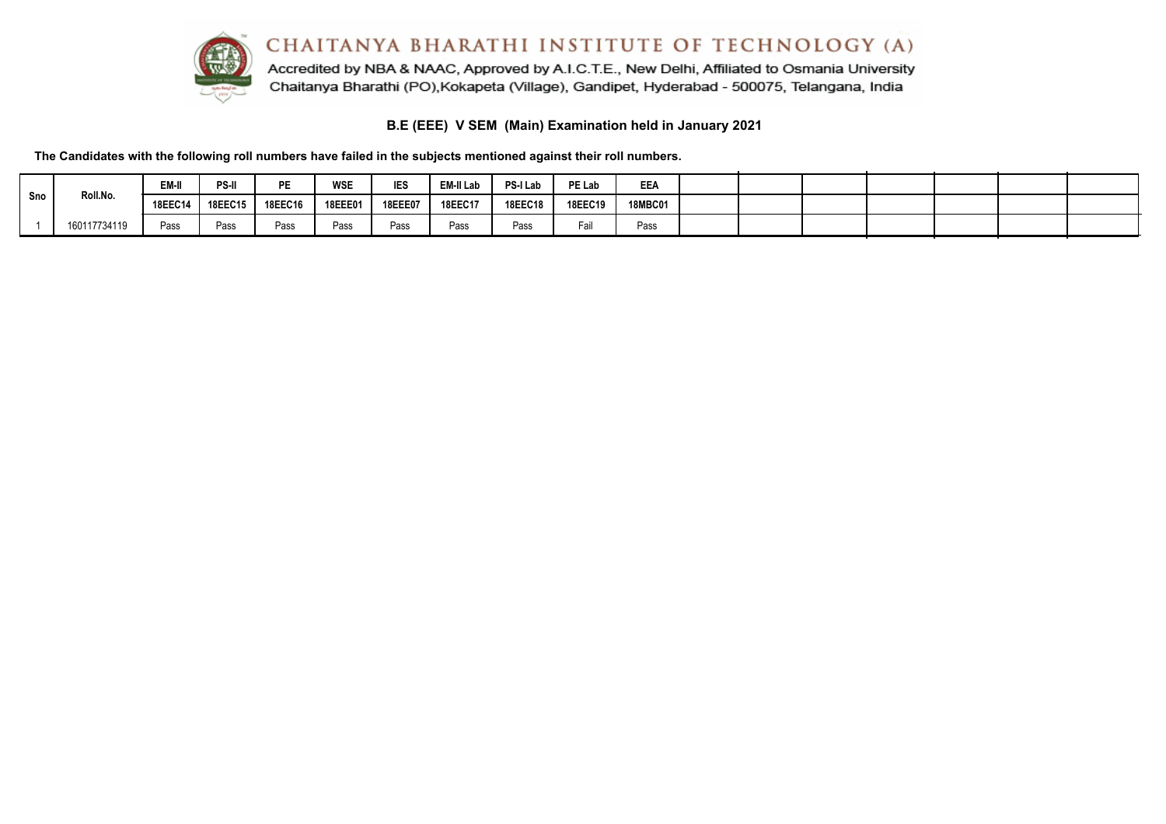

Accredited by NBA & NAAC, Approved by A.I.C.T.E., New Delhi, Affiliated to Osmania University Chaitanya Bharathi (PO), Kokapeta (Village), Gandipet, Hyderabad - 500075, Telangana, India

**B.E (EEE) V SEM (Main) Examination held in January 2021**

|     |              | EM-II          | PS-II          | DE             | <b>WSE</b>     | <b>IES</b>     | EM-II Lab | PS-I Lab | PE Lab         | EEA     |  |  |  |  |
|-----|--------------|----------------|----------------|----------------|----------------|----------------|-----------|----------|----------------|---------|--|--|--|--|
| Sno | Roll.No.     | <b>18EEC14</b> | <b>18EEC15</b> | <b>18EEC16</b> | <b>18EEE01</b> | <b>18EEE07</b> | 18EEC17   | 18EEC18  | <b>18EEC19</b> | 18MBC01 |  |  |  |  |
|     | 160117734119 | Pass           | Pass           | Pass           | Pass           | Pass           | Pass      | Pass     | Fail           | Pass    |  |  |  |  |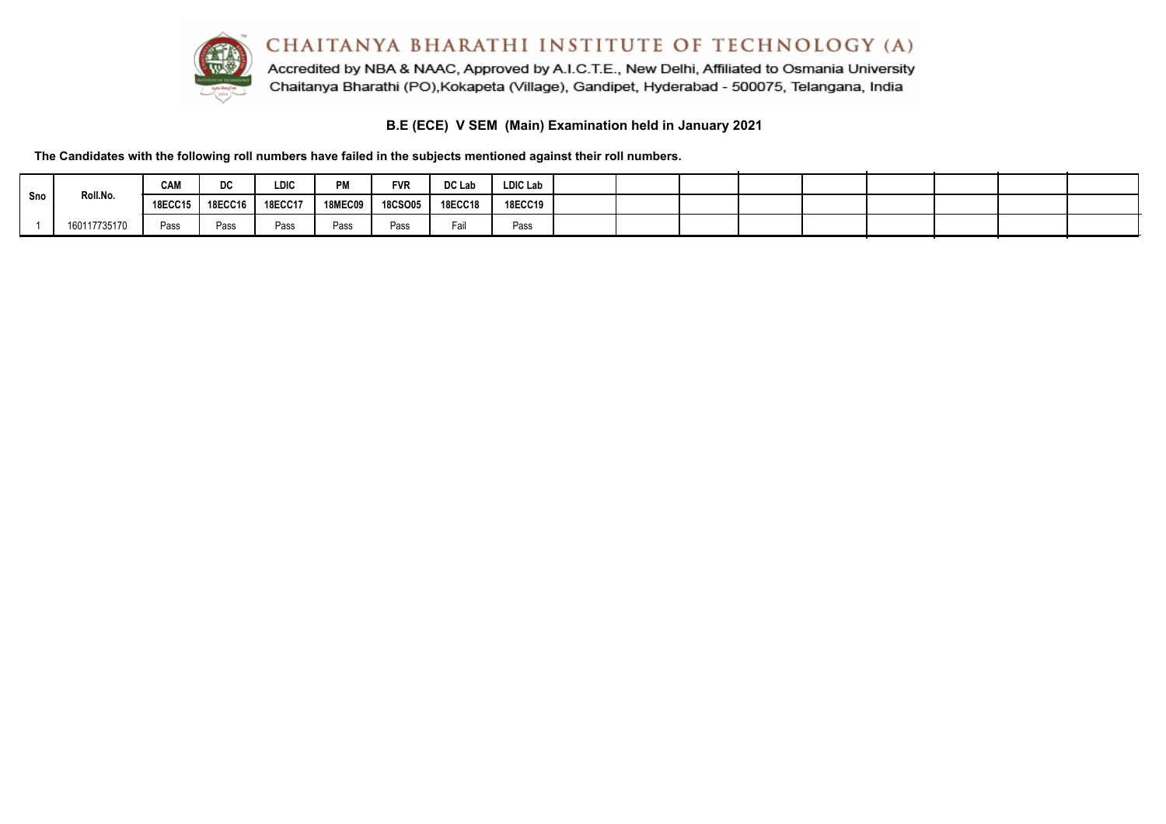

**B.E (ECE) V SEM (Main) Examination held in January 2021**

**The Candidates with the following roll numbers have failed in the subjects mentioned against their roll numbers.**

|       |              | CAM            | DC      | <b>LDIC</b> | <b>DM</b><br>F IVI. | <b>FVR</b>     | DC Lab         | <b>LDIC Lab</b> |  |  |  |  |  |
|-------|--------------|----------------|---------|-------------|---------------------|----------------|----------------|-----------------|--|--|--|--|--|
| l Sno | Roll.No.     | <b>18ECC15</b> | 18ECC16 | 18ECC17     | <b>18MEC09</b>      | <b>18CSO05</b> | <b>18ECC18</b> | <b>18ECC19</b>  |  |  |  |  |  |
|       | 160117735170 | Pass           | Pass    | Pass        | Pass                | Pass           | Fail           | Pass            |  |  |  |  |  |

 $\sim$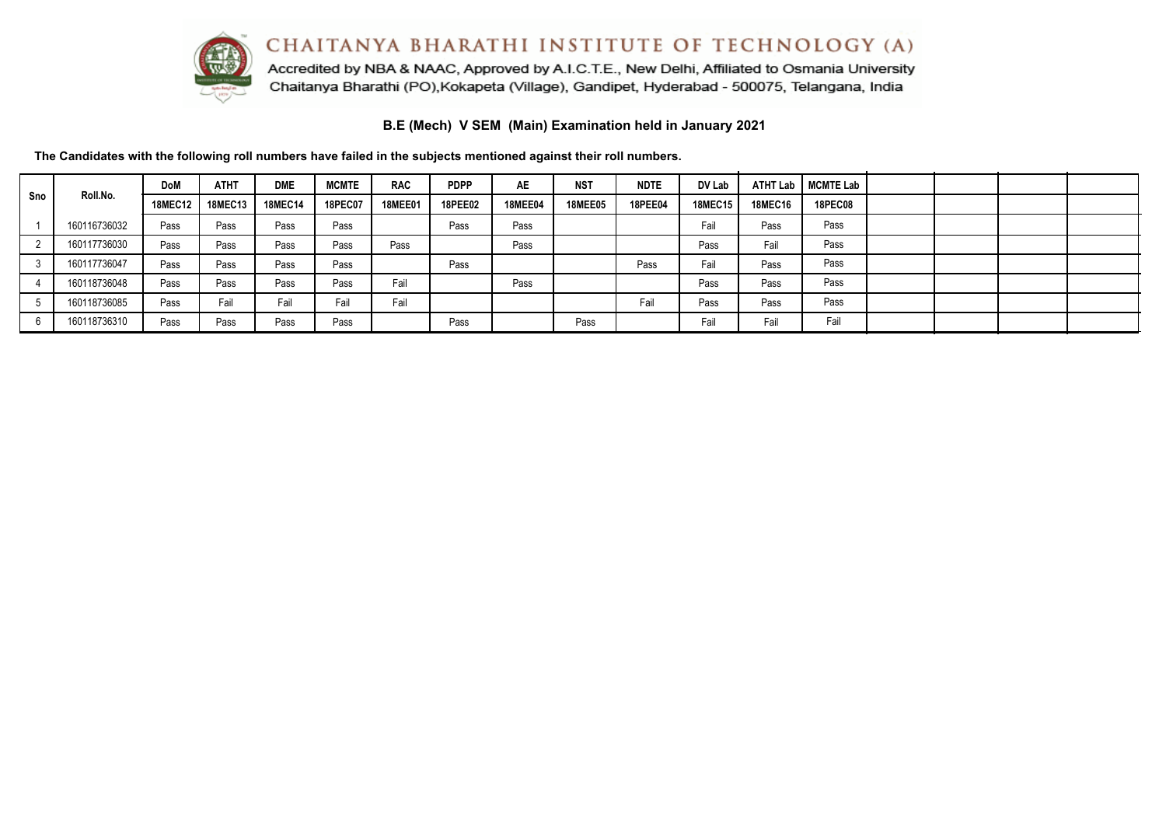

Accredited by NBA & NAAC, Approved by A.I.C.T.E., New Delhi, Affiliated to Osmania University Chaitanya Bharathi (PO), Kokapeta (Village), Gandipet, Hyderabad - 500075, Telangana, India

**B.E (Mech) V SEM (Main) Examination held in January 2021**

|     |              | <b>DoM</b>     | <b>ATHT</b>    | <b>DME</b>     | <b>MCMTE</b>   | <b>RAC</b>     | <b>PDPP</b>    | <b>AE</b>      | <b>NST</b>     | <b>NDTE</b>    | DV Lab         | <b>ATHT Lab</b> | MCMTE Lab      |  |  |
|-----|--------------|----------------|----------------|----------------|----------------|----------------|----------------|----------------|----------------|----------------|----------------|-----------------|----------------|--|--|
| Sno | Roll.No.     | <b>18MEC12</b> | <b>18MEC13</b> | <b>18MEC14</b> | <b>18PEC07</b> | <b>18MEE01</b> | <b>18PEE02</b> | <b>18MEE04</b> | <b>18MEE05</b> | <b>18PEE04</b> | <b>18MEC15</b> | <b>18MEC16</b>  | <b>18PEC08</b> |  |  |
|     | 160116736032 | Pass           | Pass           | Pass           | Pass           |                | Pass           | Pass           |                |                | Fail           | Pass            | Pass           |  |  |
|     | 160117736030 | Pass           | Pass           | Pass           | Pass           | Pass           |                | Pass           |                |                | Pass           | Fail            | Pass           |  |  |
|     | 160117736047 | Pass           | Pass           | Pass           | Pass           |                | Pass           |                |                | Pass           | Fail           | Pass            | Pass           |  |  |
|     | 160118736048 | Pass           | Pass           | Pass           | Pass           | Fail           |                | Pass           |                |                | Pass           | Pass            | Pass           |  |  |
|     | 160118736085 | Pass           | Fail           | Fail           | Fail           | Fail           |                |                |                | Fail           | Pass           | Pass            | Pass           |  |  |
|     | 160118736310 | Pass           | Pass           | Pass           | Pass           |                | Pass           |                | Pass           |                | Fail           | Fail            | Fail           |  |  |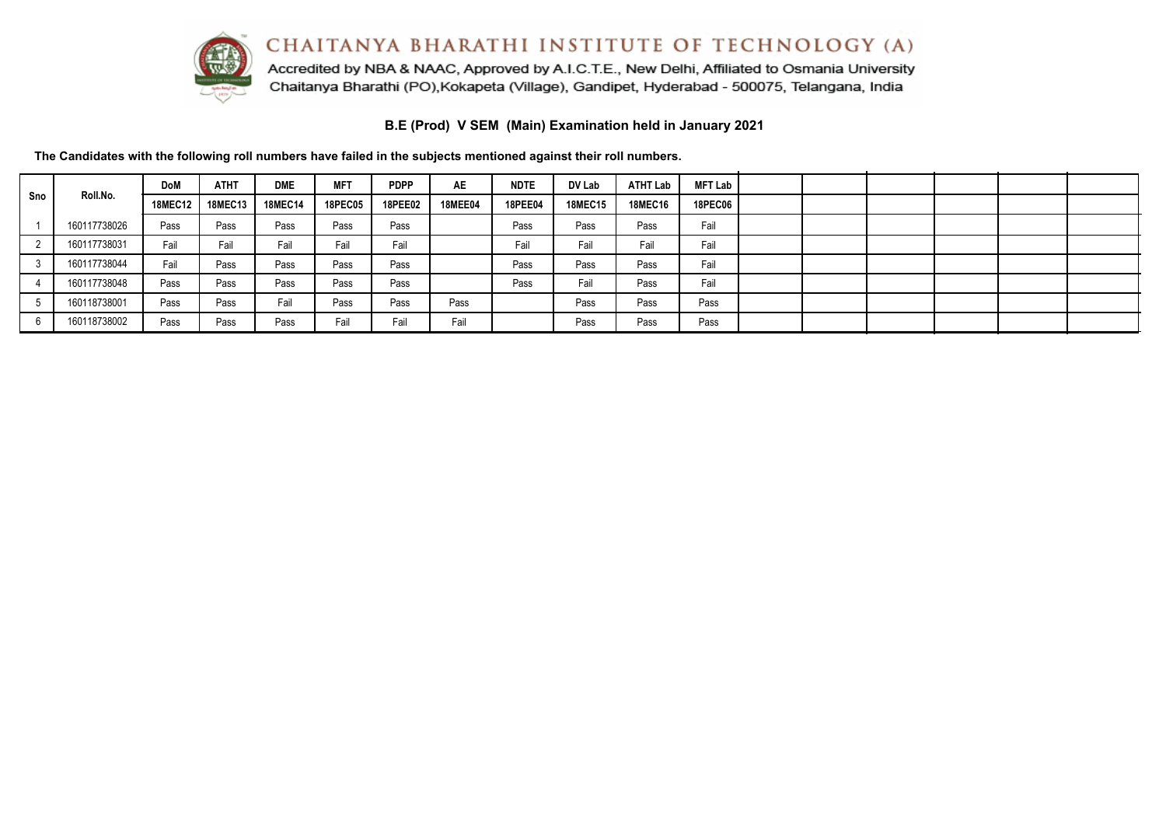

Accredited by NBA & NAAC, Approved by A.I.C.T.E., New Delhi, Affiliated to Osmania University Chaitanya Bharathi (PO), Kokapeta (Village), Gandipet, Hyderabad - 500075, Telangana, India

**B.E (Prod) V SEM (Main) Examination held in January 2021**

|     |              | <b>DoM</b>     | <b>ATHT</b>    | <b>DME</b>     | <b>MFT</b>     | <b>PDPP</b>    | <b>AE</b>      | <b>NDTE</b>    | DV Lab         | <b>ATHT Lab</b> | <b>MFT Lab</b> |  |  |  |
|-----|--------------|----------------|----------------|----------------|----------------|----------------|----------------|----------------|----------------|-----------------|----------------|--|--|--|
| Sno | Roll.No.     | <b>18MEC12</b> | <b>18MEC13</b> | <b>18MEC14</b> | <b>18PEC05</b> | <b>18PEE02</b> | <b>18MEE04</b> | <b>18PEE04</b> | <b>18MEC15</b> | <b>18MEC16</b>  | <b>18PEC06</b> |  |  |  |
|     | 160117738026 | Pass           | Pass           | Pass           | Pass           | Pass           |                | Pass           | Pass           | Pass            | Fail           |  |  |  |
|     | 160117738031 | Fail           | Fail           | Fail           | Fail           | Fail           |                | Fail           | Fail           | Fail            | Fail           |  |  |  |
|     | 160117738044 | Fail           | Pass           | Pass           | Pass           | Pass           |                | Pass           | Pass           | Pass            | Fail           |  |  |  |
|     | 160117738048 | Pass           | Pass           | Pass           | Pass           | Pass           |                | Pass           | Fail           | Pass            | Fail           |  |  |  |
|     | 160118738001 | Pass           | Pass           | Fail           | Pass           | Pass           | Pass           |                | Pass           | Pass            | Pass           |  |  |  |
|     | 160118738002 | Pass           | Pass           | Pass           | Fail           | Fail           | Fail           |                | Pass           | Pass            | Pass           |  |  |  |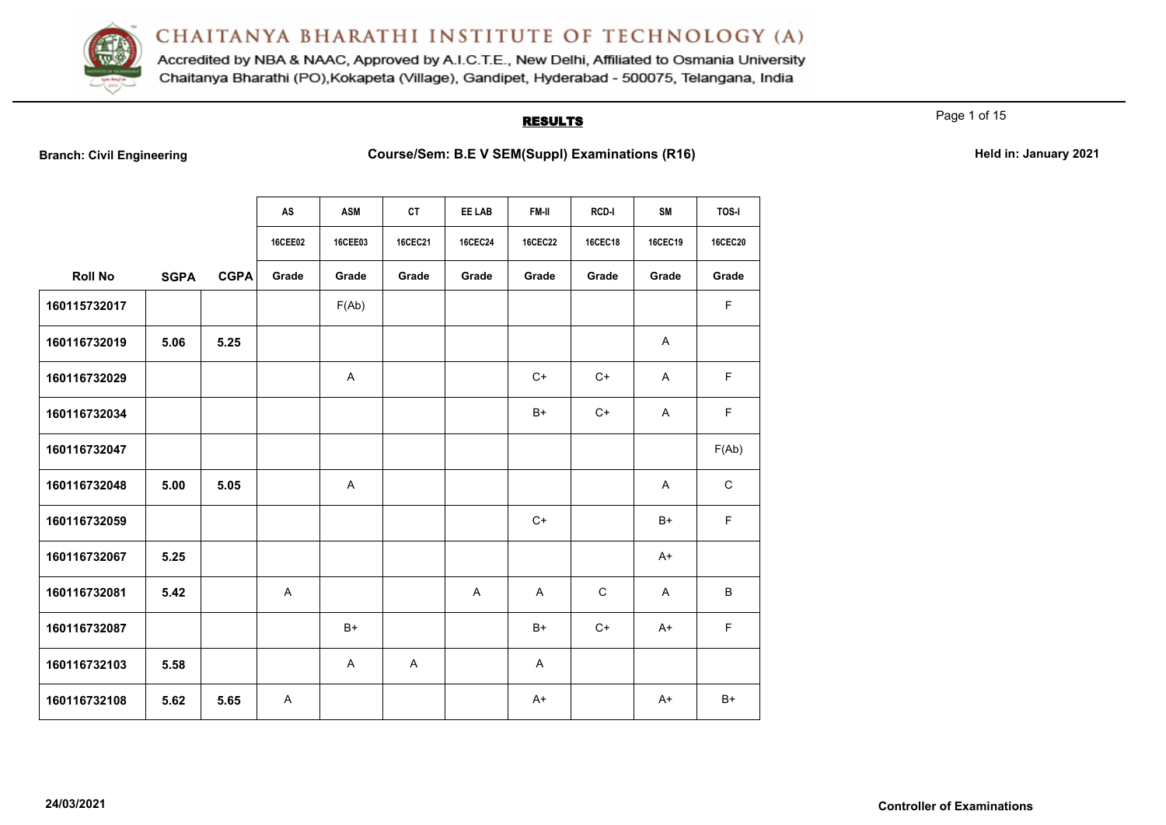

Accredited by NBA & NAAC, Approved by A.I.C.T.E., New Delhi, Affiliated to Osmania University Chaitanya Bharathi (PO), Kokapeta (Village), Gandipet, Hyderabad - 500075, Telangana, India

### **RESULTS**

Page 1 of 15

**Branch: Civil Engineering <b>Course/Sem: B.E V SEM(Suppl) Examinations (R16) Held in: January 2021** 

|                |             |             | AS      | <b>ASM</b>   | <b>CT</b>                 | EE LAB         | FM-II          | <b>RCD-I</b>   | <b>SM</b>      | <b>TOS-I</b>   |
|----------------|-------------|-------------|---------|--------------|---------------------------|----------------|----------------|----------------|----------------|----------------|
|                |             |             | 16CEE02 | 16CEE03      | 16CEC21                   | <b>16CEC24</b> | <b>16CEC22</b> | <b>16CEC18</b> | <b>16CEC19</b> | <b>16CEC20</b> |
| <b>Roll No</b> | <b>SGPA</b> | <b>CGPA</b> | Grade   | Grade        | Grade                     | Grade          | Grade          | Grade          | Grade          | Grade          |
| 160115732017   |             |             |         | F(Ab)        |                           |                |                |                |                | $\mathsf F$    |
| 160116732019   | 5.06        | 5.25        |         |              |                           |                |                |                | A              |                |
| 160116732029   |             |             |         | A            |                           |                | $C+$           | $C+$           | $\mathsf{A}$   | $\mathsf F$    |
| 160116732034   |             |             |         |              |                           |                | $B+$           | $C+$           | A              | $\mathsf F$    |
| 160116732047   |             |             |         |              |                           |                |                |                |                | F(Ab)          |
| 160116732048   | 5.00        | 5.05        |         | Α            |                           |                |                |                | A              | $\mathbf C$    |
| 160116732059   |             |             |         |              |                           |                | $C+$           |                | $B+$           | $\mathsf F$    |
| 160116732067   | 5.25        |             |         |              |                           |                |                |                | $A+$           |                |
| 160116732081   | 5.42        |             | A       |              |                           | $\overline{A}$ | $\overline{A}$ | $\mathsf{C}$   | $\mathsf{A}$   | B              |
| 160116732087   |             |             |         | $B+$         |                           |                | $B+$           | $C+$           | $A+$           | $\mathsf F$    |
| 160116732103   | 5.58        |             |         | $\mathsf{A}$ | $\boldsymbol{\mathsf{A}}$ |                | A              |                |                |                |
| 160116732108   | 5.62        | 5.65        | A       |              |                           |                | $A+$           |                | $A+$           | $B+$           |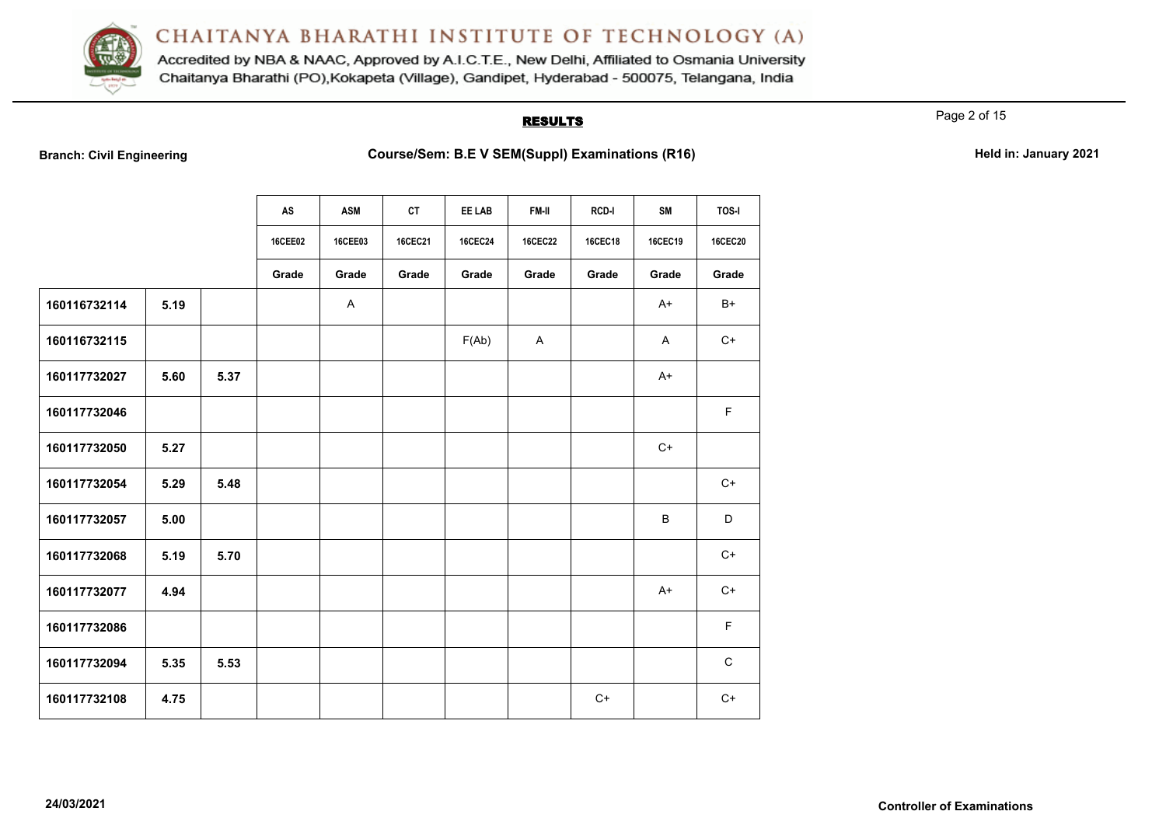

Accredited by NBA & NAAC, Approved by A.I.C.T.E., New Delhi, Affiliated to Osmania University Chaitanya Bharathi (PO), Kokapeta (Village), Gandipet, Hyderabad - 500075, Telangana, India

### **RESULTS**

Page 2 of 15

**Branch: Civil Engineering <b>Course/Sem: B.E V SEM(Suppl) Examinations (R16) Held in: January 2021** 

|              |      |      | AS      | <b>ASM</b> | <b>CT</b>      | EE LAB         | FM-II          | RCD-I          | <b>SM</b>      | TOS-I          |
|--------------|------|------|---------|------------|----------------|----------------|----------------|----------------|----------------|----------------|
|              |      |      | 16CEE02 | 16CEE03    | <b>16CEC21</b> | <b>16CEC24</b> | <b>16CEC22</b> | <b>16CEC18</b> | <b>16CEC19</b> | <b>16CEC20</b> |
|              |      |      | Grade   | Grade      | Grade          | Grade          | Grade          | Grade          | Grade          | Grade          |
| 160116732114 | 5.19 |      |         | A          |                |                |                |                | $A+$           | B+             |
| 160116732115 |      |      |         |            |                | F(Ab)          | A              |                | A              | $C+$           |
| 160117732027 | 5.60 | 5.37 |         |            |                |                |                |                | $A+$           |                |
| 160117732046 |      |      |         |            |                |                |                |                |                | F              |
| 160117732050 | 5.27 |      |         |            |                |                |                |                | $C+$           |                |
| 160117732054 | 5.29 | 5.48 |         |            |                |                |                |                |                | $C+$           |
| 160117732057 | 5.00 |      |         |            |                |                |                |                | B              | D              |
| 160117732068 | 5.19 | 5.70 |         |            |                |                |                |                |                | $C+$           |
| 160117732077 | 4.94 |      |         |            |                |                |                |                | $A+$           | $C+$           |
| 160117732086 |      |      |         |            |                |                |                |                |                | F              |
| 160117732094 | 5.35 | 5.53 |         |            |                |                |                |                |                | $\mathsf{C}$   |
| 160117732108 | 4.75 |      |         |            |                |                |                | $C+$           |                | $C+$           |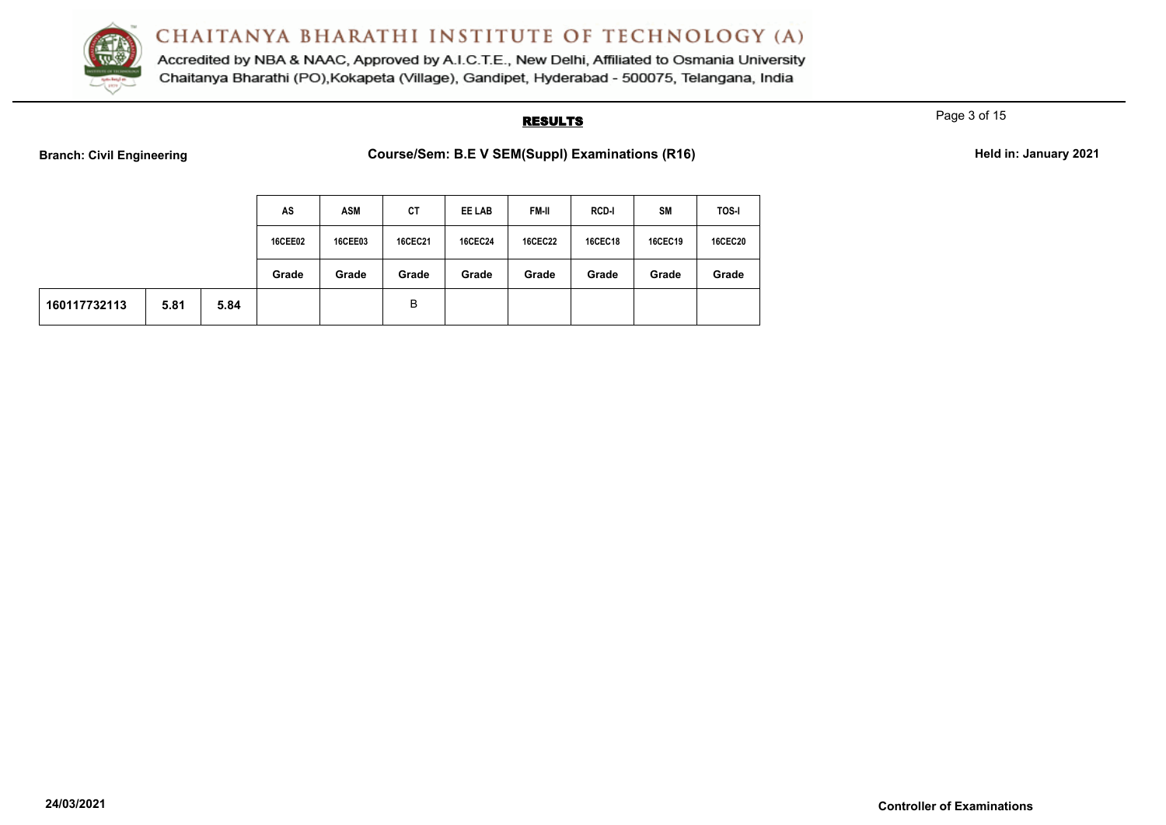

Accredited by NBA & NAAC, Approved by A.I.C.T.E., New Delhi, Affiliated to Osmania University Chaitanya Bharathi (PO), Kokapeta (Village), Gandipet, Hyderabad - 500075, Telangana, India

### **RESULTS**

Page 3 of 15

| Branch: Civil Engineering |  |  |
|---------------------------|--|--|

| Course/Sem: B.E V SEM(Suppl) Examinations (R16) | Held in: January 2021 |
|-------------------------------------------------|-----------------------|
|                                                 |                       |

|              |      |      | AS             | ASM            | СT             | EE LAB         | <b>FM-II</b>   | <b>RCD-I</b>   | SM      | <b>TOS-I</b>   |
|--------------|------|------|----------------|----------------|----------------|----------------|----------------|----------------|---------|----------------|
|              |      |      | <b>16CEE02</b> | <b>16CEE03</b> | <b>16CEC21</b> | <b>16CEC24</b> | <b>16CEC22</b> | <b>16CEC18</b> | 16CEC19 | <b>16CEC20</b> |
|              |      |      | Grade          | Grade          | Grade          | Grade          | Grade          | Grade          | Grade   | Grade          |
| 160117732113 | 5.81 | 5.84 |                |                | B              |                |                |                |         |                |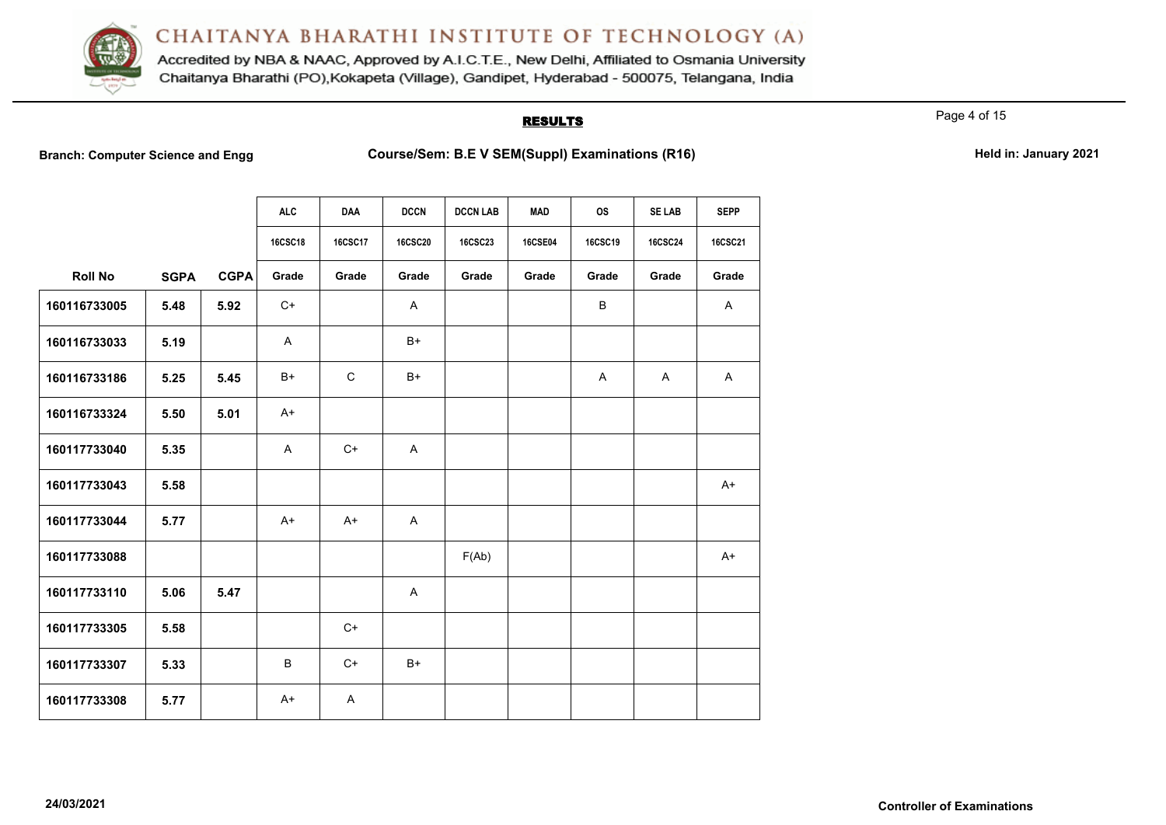

Accredited by NBA & NAAC, Approved by A.I.C.T.E., New Delhi, Affiliated to Osmania University Chaitanya Bharathi (PO), Kokapeta (Village), Gandipet, Hyderabad - 500075, Telangana, India

### **RESULTS**

Page 4 of 15

**Branch: Computer Science and Engg Course/Sem: B.E V SEM(Suppl) Examinations (R16)** Held in: January 2021

|                |             |             | <b>ALC</b>     | <b>DAA</b>     | <b>DCCN</b>    | <b>DCCN LAB</b> | <b>MAD</b>     | <b>OS</b>      | <b>SE LAB</b>  | <b>SEPP</b>    |
|----------------|-------------|-------------|----------------|----------------|----------------|-----------------|----------------|----------------|----------------|----------------|
|                |             |             | <b>16CSC18</b> | <b>16CSC17</b> | <b>16CSC20</b> | <b>16CSC23</b>  | <b>16CSE04</b> | <b>16CSC19</b> | <b>16CSC24</b> | <b>16CSC21</b> |
| <b>Roll No</b> | <b>SGPA</b> | <b>CGPA</b> | Grade          | Grade          | Grade          | Grade           | Grade          | Grade          | Grade          | Grade          |
| 160116733005   | 5.48        | 5.92        | C+             |                | A              |                 |                | B              |                | A              |
| 160116733033   | 5.19        |             | A              |                | $B+$           |                 |                |                |                |                |
| 160116733186   | 5.25        | 5.45        | $B+$           | $\mathsf{C}$   | $B+$           |                 |                | Α              | A              | A              |
| 160116733324   | 5.50        | 5.01        | $A+$           |                |                |                 |                |                |                |                |
| 160117733040   | 5.35        |             | A              | $C+$           | A              |                 |                |                |                |                |
| 160117733043   | 5.58        |             |                |                |                |                 |                |                |                | $A+$           |
| 160117733044   | 5.77        |             | $A+$           | $A+$           | $\overline{A}$ |                 |                |                |                |                |
| 160117733088   |             |             |                |                |                | F(Ab)           |                |                |                | $A+$           |
| 160117733110   | 5.06        | 5.47        |                |                | A              |                 |                |                |                |                |
| 160117733305   | 5.58        |             |                | $C+$           |                |                 |                |                |                |                |
| 160117733307   | 5.33        |             | В              | $C+$           | $B+$           |                 |                |                |                |                |
| 160117733308   | 5.77        |             | $A+$           | A              |                |                 |                |                |                |                |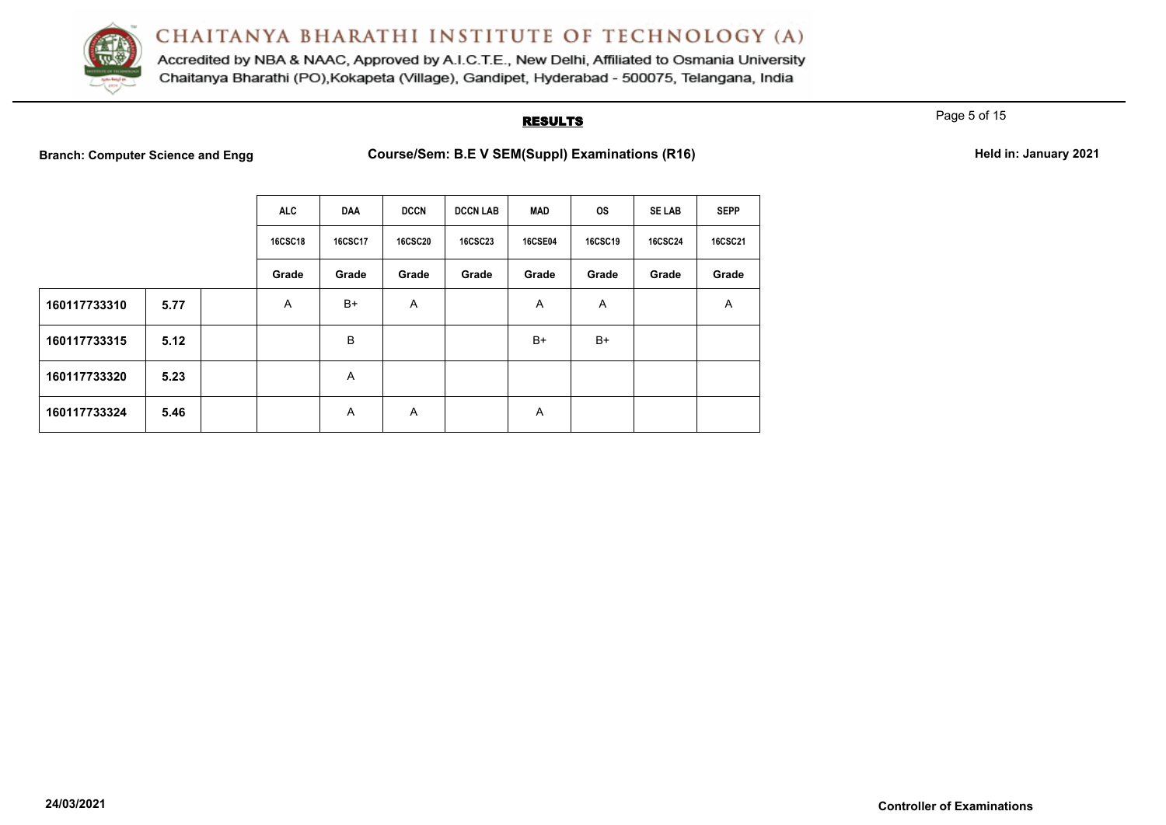

Accredited by NBA & NAAC, Approved by A.I.C.T.E., New Delhi, Affiliated to Osmania University Chaitanya Bharathi (PO), Kokapeta (Village), Gandipet, Hyderabad - 500075, Telangana, India

#### **RESULTS**

Page 5 of 15

**Branch: Computer Science and Engg Course/Sem: B.E V SEM(Suppl) Examinations (R16) Held in: January 2021**

| Held in: January 2021 |  |
|-----------------------|--|
|-----------------------|--|

|              |      | <b>ALC</b>     | <b>DAA</b>     | <b>DCCN</b>    | <b>DCCN LAB</b> | MAD            | <b>OS</b>      | <b>SE LAB</b>  | <b>SEPP</b>    |
|--------------|------|----------------|----------------|----------------|-----------------|----------------|----------------|----------------|----------------|
|              |      | <b>16CSC18</b> | <b>16CSC17</b> | <b>16CSC20</b> | <b>16CSC23</b>  | <b>16CSE04</b> | <b>16CSC19</b> | <b>16CSC24</b> | <b>16CSC21</b> |
|              |      | Grade          | Grade          | Grade          | Grade           | Grade          | Grade          | Grade          | Grade          |
| 160117733310 | 5.77 | A              | $B+$           | A              |                 | A              | A              |                | A              |
| 160117733315 | 5.12 |                | В              |                |                 | B+             | $B+$           |                |                |
| 160117733320 | 5.23 |                | A              |                |                 |                |                |                |                |
| 160117733324 | 5.46 |                | A              | A              |                 | A              |                |                |                |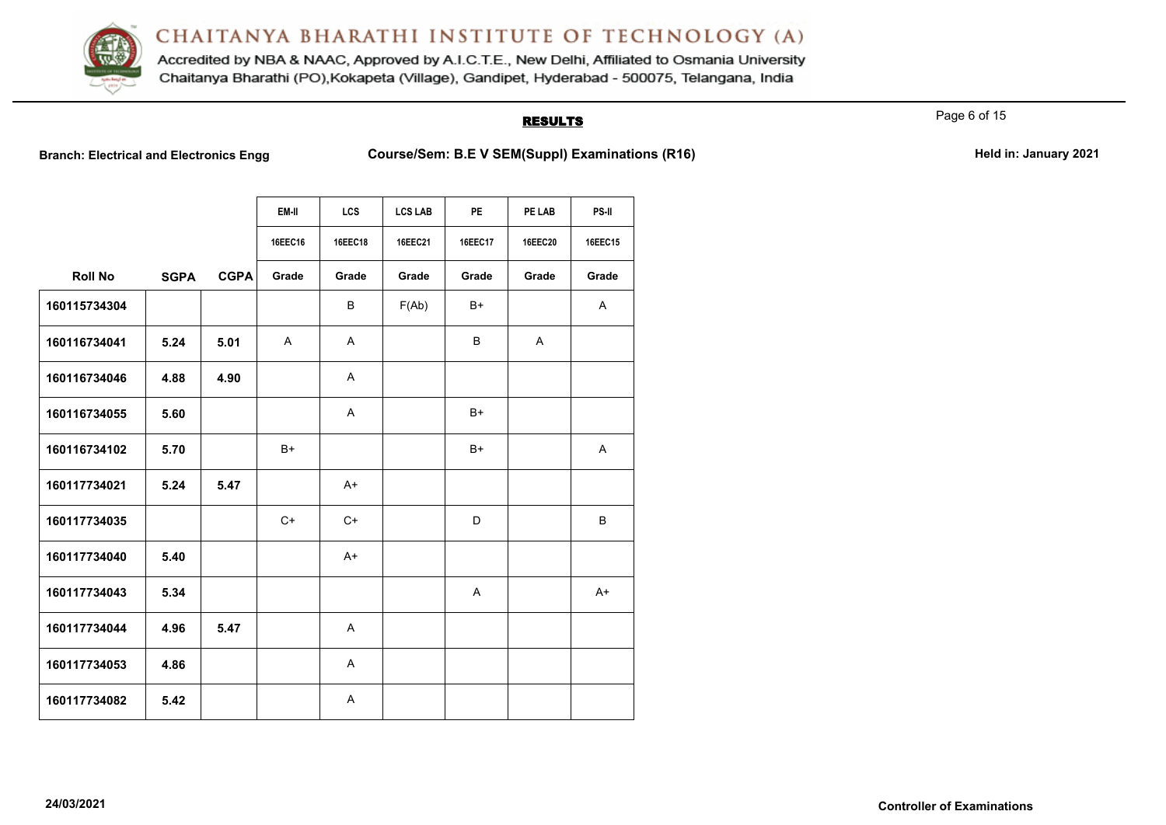

Accredited by NBA & NAAC, Approved by A.I.C.T.E., New Delhi, Affiliated to Osmania University Chaitanya Bharathi (PO), Kokapeta (Village), Gandipet, Hyderabad - 500075, Telangana, India

## **RESULTS**

Page 6 of 15

**Branch: Electrical and Electronics Engg Course/Sem: B.E V SEM(Suppl) Examinations (R16) Held in: January 2021**

|  | Held in: January 2021 |  |
|--|-----------------------|--|
|  |                       |  |

|                |             |             | EM-II        | <b>LCS</b>     | <b>LCS LAB</b> | <b>PE</b>    | PE LAB         | PS-II   |
|----------------|-------------|-------------|--------------|----------------|----------------|--------------|----------------|---------|
|                |             |             | 16EEC16      | <b>16EEC18</b> | 16EEC21        | 16EEC17      | <b>16EEC20</b> | 16EEC15 |
| <b>Roll No</b> | <b>SGPA</b> | <b>CGPA</b> | Grade        | Grade          | Grade          | Grade        | Grade          | Grade   |
| 160115734304   |             |             |              | B              | F(Ab)          | B+           |                | A       |
| 160116734041   | 5.24        | 5.01        | $\mathsf{A}$ | A              |                | B            | A              |         |
| 160116734046   | 4.88        | 4.90        |              | A              |                |              |                |         |
| 160116734055   | 5.60        |             |              | $\mathsf{A}$   |                | $B+$         |                |         |
| 160116734102   | 5.70        |             | $B+$         |                |                | $B+$         |                | Α       |
| 160117734021   | 5.24        | 5.47        |              | $A+$           |                |              |                |         |
| 160117734035   |             |             | $C+$         | $C+$           |                | D            |                | B       |
| 160117734040   | 5.40        |             |              | $A+$           |                |              |                |         |
| 160117734043   | 5.34        |             |              |                |                | $\mathsf{A}$ |                | $A+$    |
| 160117734044   | 4.96        | 5.47        |              | A              |                |              |                |         |
| 160117734053   | 4.86        |             |              | A              |                |              |                |         |
| 160117734082   | 5.42        |             |              | A              |                |              |                |         |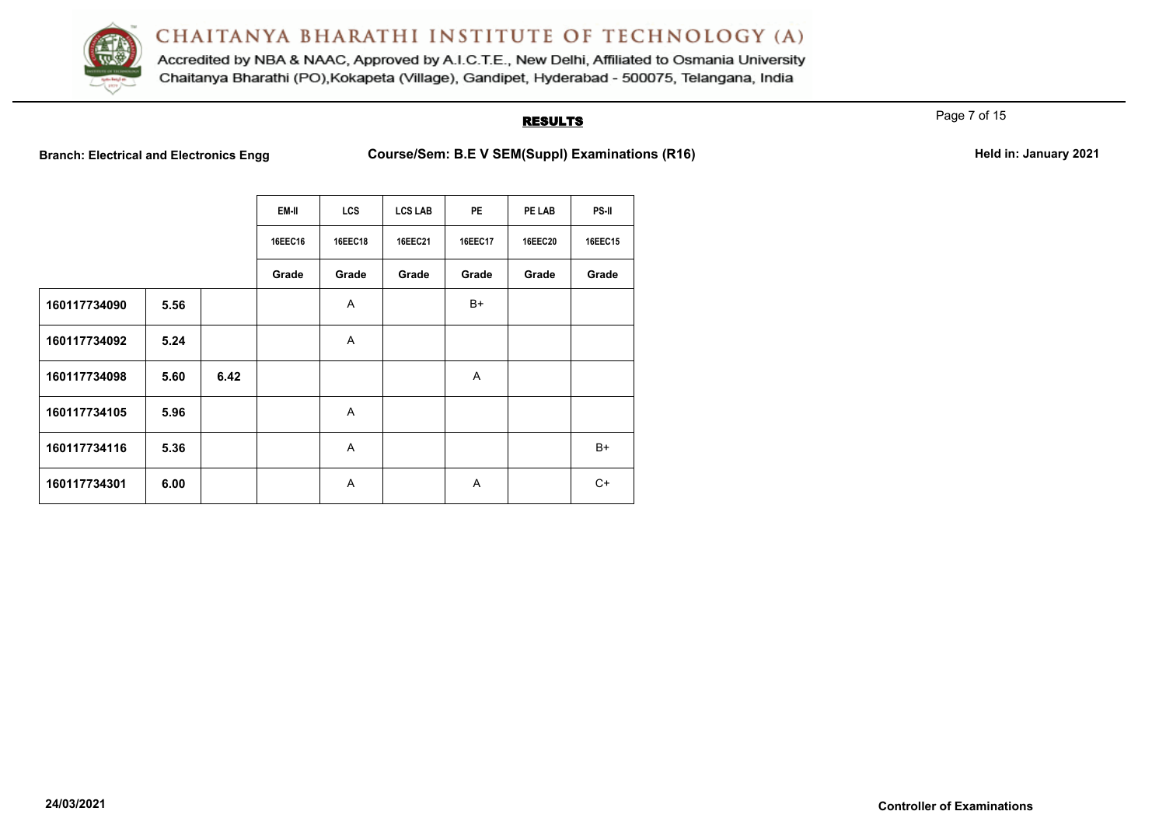

Accredited by NBA & NAAC, Approved by A.I.C.T.E., New Delhi, Affiliated to Osmania University Chaitanya Bharathi (PO), Kokapeta (Village), Gandipet, Hyderabad - 500075, Telangana, India

### **RESULTS**

Page 7 of 15

Branch: Electrical and Electronics Engg **Course/Sem: B.E V SEM(Suppl) Examinations (R16)** Held in: January 2021

|              |      |      | EM-II   | <b>LCS</b> | <b>LCS LAB</b> | <b>PE</b> | PE LAB         | <b>PS-II</b> |
|--------------|------|------|---------|------------|----------------|-----------|----------------|--------------|
|              |      |      | 16EEC16 | 16EEC18    | 16EEC21        | 16EEC17   | <b>16EEC20</b> | 16EEC15      |
|              |      |      | Grade   | Grade      | Grade          | Grade     | Grade          | Grade        |
| 160117734090 | 5.56 |      |         | A          |                | B+        |                |              |
| 160117734092 | 5.24 |      |         | A          |                |           |                |              |
| 160117734098 | 5.60 | 6.42 |         |            |                | A         |                |              |
| 160117734105 | 5.96 |      |         | A          |                |           |                |              |
| 160117734116 | 5.36 |      |         | A          |                |           |                | B+           |
| 160117734301 | 6.00 |      |         | A          |                | A         |                | $C+$         |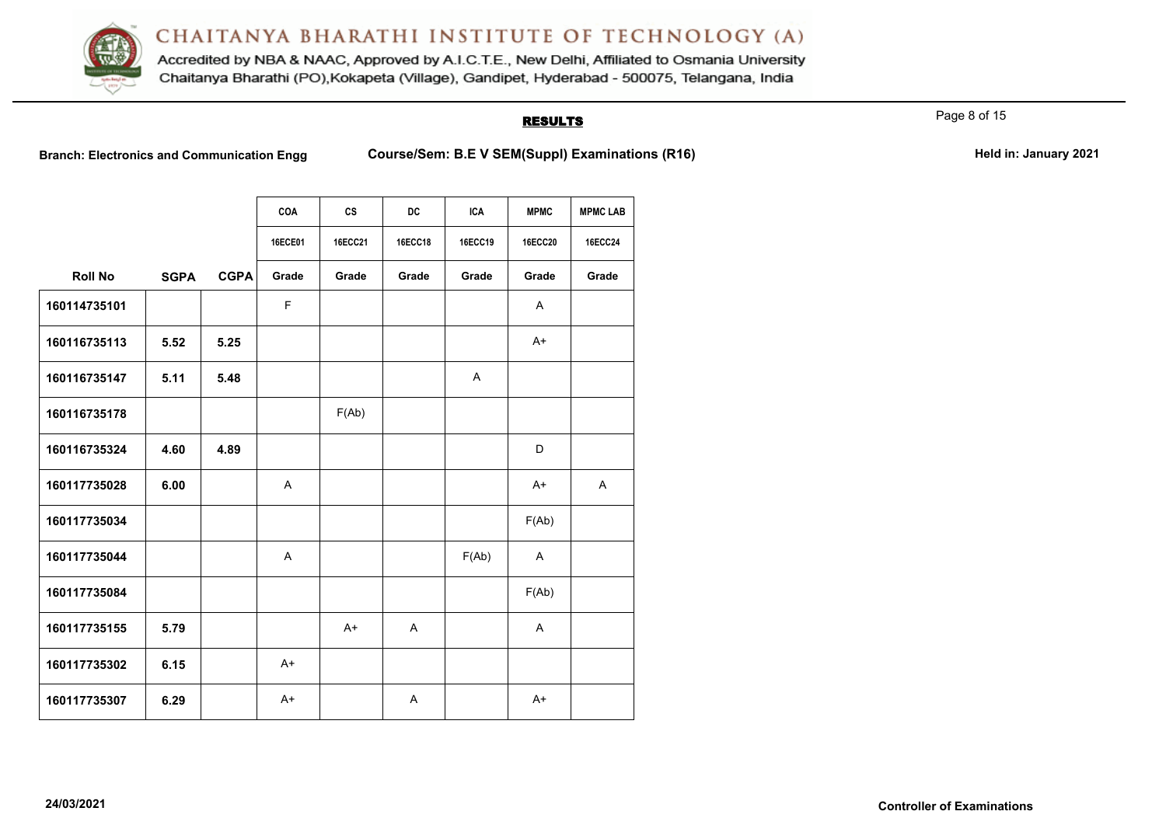

Accredited by NBA & NAAC, Approved by A.I.C.T.E., New Delhi, Affiliated to Osmania University Chaitanya Bharathi (PO), Kokapeta (Village), Gandipet, Hyderabad - 500075, Telangana, India

## **RESULTS**

Page 8 of 15

**Branch: Electronics and Communication Engg <br>Course/Sem: B.E V SEM(Suppl) Examinations (R16)** 

|  | Held in: January 2021 |  |
|--|-----------------------|--|
|  |                       |  |

|                |             |             | <b>COA</b>     | cs             | DC           | <b>ICA</b> | <b>MPMC</b>    | <b>MPMC LAB</b> |
|----------------|-------------|-------------|----------------|----------------|--------------|------------|----------------|-----------------|
|                |             |             | <b>16ECE01</b> | <b>16ECC21</b> | 16ECC18      | 16ECC19    | <b>16ECC20</b> | <b>16ECC24</b>  |
| <b>Roll No</b> | <b>SGPA</b> | <b>CGPA</b> | Grade          | Grade          | Grade        | Grade      | Grade          | Grade           |
| 160114735101   |             |             | F              |                |              |            | Α              |                 |
| 160116735113   | 5.52        | 5.25        |                |                |              |            | $A+$           |                 |
| 160116735147   | 5.11        | 5.48        |                |                |              | A          |                |                 |
| 160116735178   |             |             |                | F(Ab)          |              |            |                |                 |
| 160116735324   | 4.60        | 4.89        |                |                |              |            | D              |                 |
| 160117735028   | 6.00        |             | A              |                |              |            | $A+$           | Α               |
| 160117735034   |             |             |                |                |              |            | F(Ab)          |                 |
| 160117735044   |             |             | A              |                |              | F(Ab)      | A              |                 |
| 160117735084   |             |             |                |                |              |            | F(Ab)          |                 |
| 160117735155   | 5.79        |             |                | $A+$           | $\mathsf{A}$ |            | A              |                 |
| 160117735302   | 6.15        |             | $A+$           |                |              |            |                |                 |
| 160117735307   | 6.29        |             | $A+$           |                | A            |            | $A+$           |                 |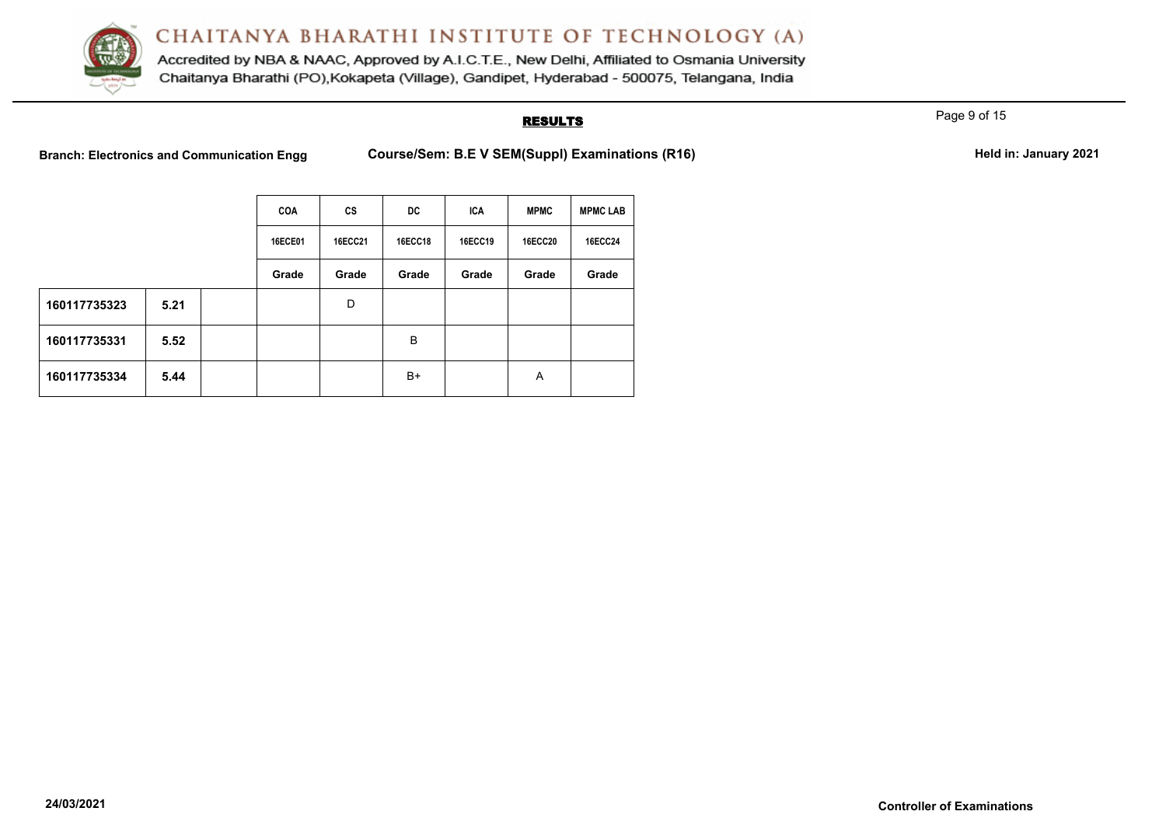

Accredited by NBA & NAAC, Approved by A.I.C.T.E., New Delhi, Affiliated to Osmania University Chaitanya Bharathi (PO), Kokapeta (Village), Gandipet, Hyderabad - 500075, Telangana, India

### **RESULTS**

Page 9 of 15

Branch: Electronics and Communication Engg Course/Sem: B.E V SEM(Suppl) Examinations (R16) **Held in: January 2021** 

|              |      |  | <b>COA</b>     | <b>CS</b>      | DC.            | <b>ICA</b> | <b>MPMC</b>    | <b>MPMC LAB</b> |
|--------------|------|--|----------------|----------------|----------------|------------|----------------|-----------------|
|              |      |  | <b>16ECE01</b> | <b>16ECC21</b> | <b>16ECC18</b> | 16ECC19    | <b>16ECC20</b> | <b>16ECC24</b>  |
|              |      |  | Grade          | Grade          | Grade          | Grade      | Grade          | Grade           |
| 160117735323 | 5.21 |  |                | D              |                |            |                |                 |
| 160117735331 | 5.52 |  |                |                | B              |            |                |                 |
| 160117735334 | 5.44 |  |                |                | B+             |            | A              |                 |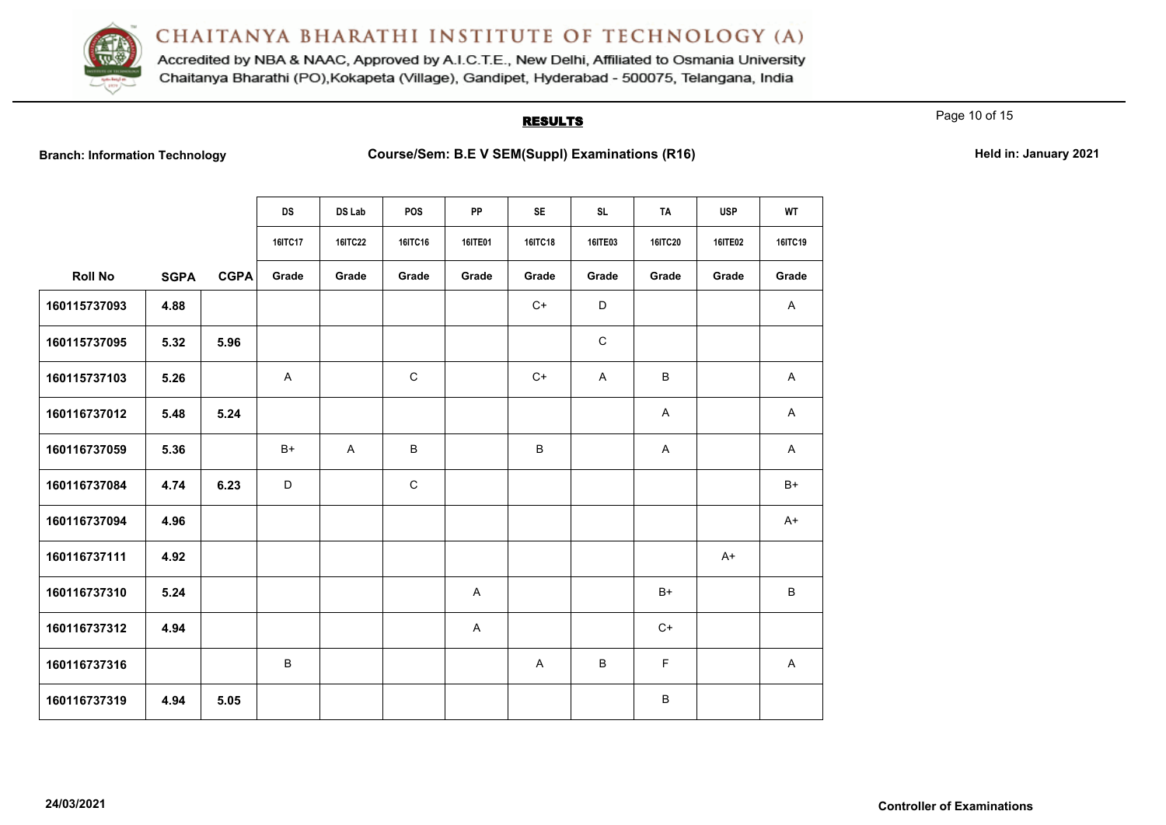

Accredited by NBA & NAAC, Approved by A.I.C.T.E., New Delhi, Affiliated to Osmania University Chaitanya Bharathi (PO), Kokapeta (Village), Gandipet, Hyderabad - 500075, Telangana, India

#### **RESULTS**

Page 10 of 15

Branch: Information Technology **Course/Sem: B.E V SEM(Suppl) Examinations (R16)** Held in: January 2021

|                |             |             | <b>DS</b> | DS Lab         | <b>POS</b>   | <b>PP</b>      | <b>SE</b>    | <b>SL</b>    | <b>TA</b>      | <b>USP</b>     | <b>WT</b>    |
|----------------|-------------|-------------|-----------|----------------|--------------|----------------|--------------|--------------|----------------|----------------|--------------|
|                |             |             | 16ITC17   | <b>16ITC22</b> | 16ITC16      | <b>16ITE01</b> | 16ITC18      | 16ITE03      | <b>16ITC20</b> | <b>16ITE02</b> | 16ITC19      |
| <b>Roll No</b> | <b>SGPA</b> | <b>CGPA</b> | Grade     | Grade          | Grade        | Grade          | Grade        | Grade        | Grade          | Grade          | Grade        |
| 160115737093   | 4.88        |             |           |                |              |                | $C+$         | $\mathsf D$  |                |                | $\mathsf{A}$ |
| 160115737095   | 5.32        | 5.96        |           |                |              |                |              | $\mathsf C$  |                |                |              |
| 160115737103   | 5.26        |             | A         |                | $\mathsf{C}$ |                | $C+$         | $\mathsf{A}$ | B              |                | A            |
| 160116737012   | 5.48        | 5.24        |           |                |              |                |              |              | A              |                | A            |
| 160116737059   | 5.36        |             | B+        | A              | B            |                | B            |              | A              |                | A            |
| 160116737084   | 4.74        | 6.23        | D         |                | $\mathsf{C}$ |                |              |              |                |                | $B+$         |
| 160116737094   | 4.96        |             |           |                |              |                |              |              |                |                | $A+$         |
| 160116737111   | 4.92        |             |           |                |              |                |              |              |                | $A+$           |              |
| 160116737310   | 5.24        |             |           |                |              | A              |              |              | $B+$           |                | В            |
| 160116737312   | 4.94        |             |           |                |              | A              |              |              | $C+$           |                |              |
| 160116737316   |             |             | B         |                |              |                | $\mathsf{A}$ | B            | $\mathsf F$    |                | A            |
| 160116737319   | 4.94        | 5.05        |           |                |              |                |              |              | B              |                |              |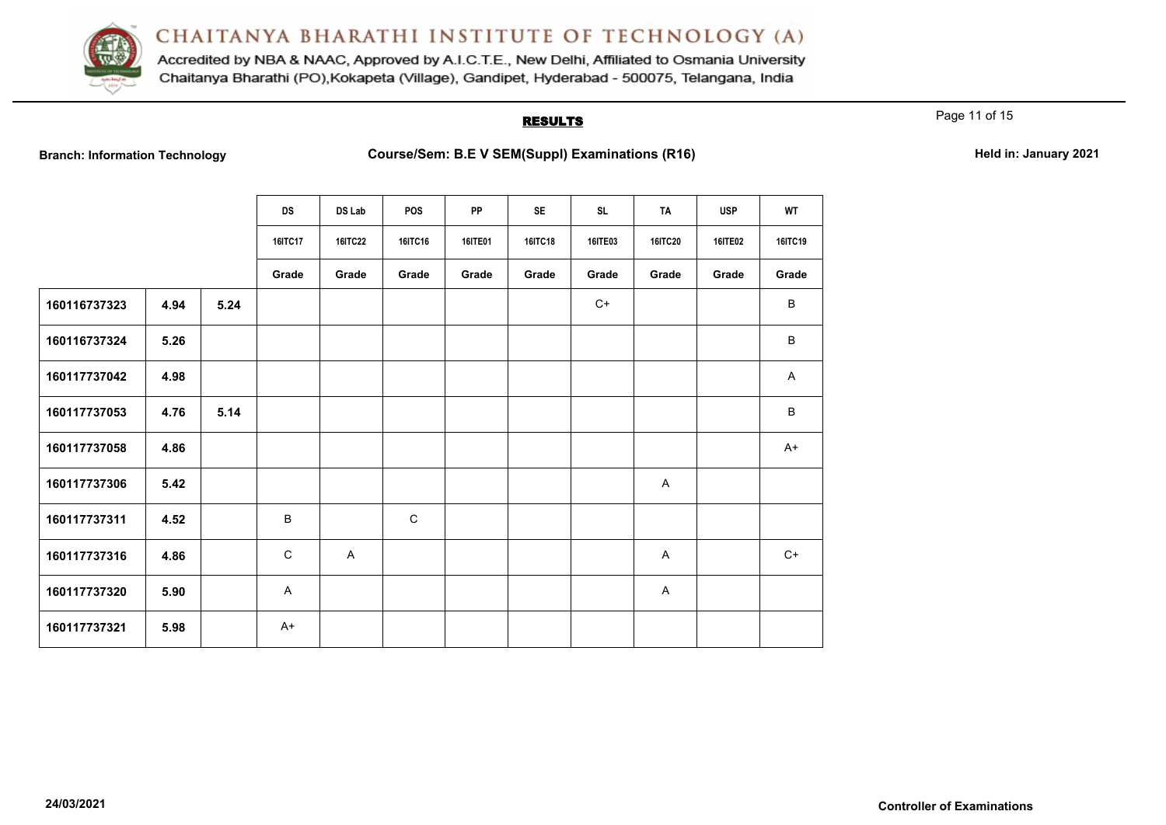

Accredited by NBA & NAAC, Approved by A.I.C.T.E., New Delhi, Affiliated to Osmania University Chaitanya Bharathi (PO), Kokapeta (Village), Gandipet, Hyderabad - 500075, Telangana, India

## **RESULTS**

Page 11 of 15

|  | <b>Branch: Information Technology</b> |
|--|---------------------------------------|
|  |                                       |

**Branch: Information Technology Course/Sem: B.E V SEM(Suppl) Examinations (R16) Held in: January 2021** 

|              |      |      | <b>DS</b>      | DS Lab         | <b>POS</b>     | <b>PP</b>      | <b>SE</b>      | <b>SL</b> | TA             | <b>USP</b> | <b>WT</b> |
|--------------|------|------|----------------|----------------|----------------|----------------|----------------|-----------|----------------|------------|-----------|
|              |      |      | <b>16ITC17</b> | <b>16ITC22</b> | <b>16ITC16</b> | <b>16ITE01</b> | <b>16ITC18</b> | 16ITE03   | <b>16ITC20</b> | 16ITE02    | 16ITC19   |
|              |      |      | Grade          | Grade          | Grade          | Grade          | Grade          | Grade     | Grade          | Grade      | Grade     |
| 160116737323 | 4.94 | 5.24 |                |                |                |                |                | $C+$      |                |            | B         |
| 160116737324 | 5.26 |      |                |                |                |                |                |           |                |            | B         |
| 160117737042 | 4.98 |      |                |                |                |                |                |           |                |            | A         |
| 160117737053 | 4.76 | 5.14 |                |                |                |                |                |           |                |            | B         |
| 160117737058 | 4.86 |      |                |                |                |                |                |           |                |            | $A+$      |
| 160117737306 | 5.42 |      |                |                |                |                |                |           | A              |            |           |
| 160117737311 | 4.52 |      | B              |                | $\mathbf C$    |                |                |           |                |            |           |
| 160117737316 | 4.86 |      | $\mathsf C$    | $\mathsf{A}$   |                |                |                |           | A              |            | $C+$      |
| 160117737320 | 5.90 |      | A              |                |                |                |                |           | A              |            |           |
| 160117737321 | 5.98 |      | $A+$           |                |                |                |                |           |                |            |           |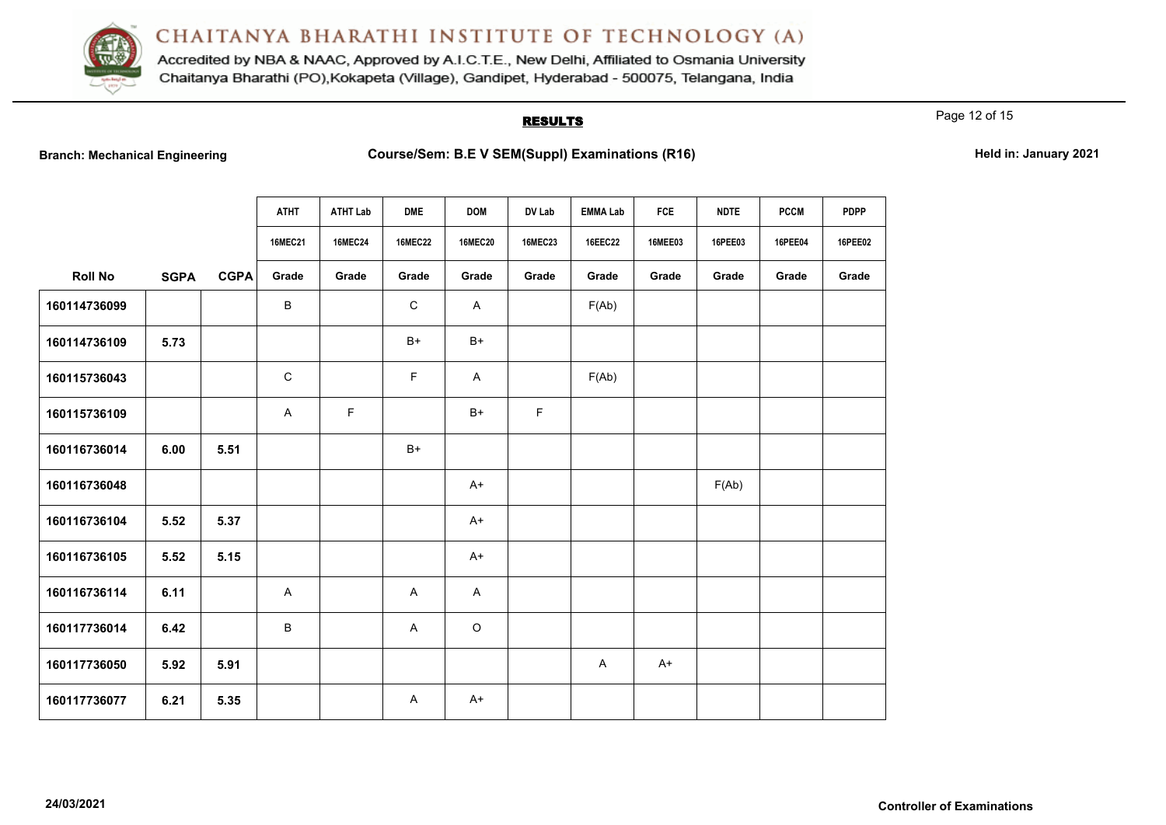

Accredited by NBA & NAAC, Approved by A.I.C.T.E., New Delhi, Affiliated to Osmania University Chaitanya Bharathi (PO), Kokapeta (Village), Gandipet, Hyderabad - 500075, Telangana, India

### **RESULTS**

Page 12 of 15

**Branch: B.E V SEM(Suppl) Examinations (R16) Course/Sem: B.E V SEM(Suppl) Examinations (R16)** 

|  | Held in: January 2021 |  |
|--|-----------------------|--|
|--|-----------------------|--|

|                |             |             | <b>ATHT</b><br><b>16MEC21</b> | <b>ATHT Lab</b><br><b>16MEC24</b> | <b>DME</b><br><b>16MEC22</b> | <b>DOM</b><br><b>16MEC20</b> | DV Lab<br><b>16MEC23</b> | <b>EMMA Lab</b><br><b>16EEC22</b> | <b>FCE</b><br><b>16MEE03</b> | <b>NDTE</b><br>16PEE03 | <b>PCCM</b><br>16PEE04 | <b>PDPP</b><br>16PEE02 |
|----------------|-------------|-------------|-------------------------------|-----------------------------------|------------------------------|------------------------------|--------------------------|-----------------------------------|------------------------------|------------------------|------------------------|------------------------|
|                |             |             |                               |                                   |                              |                              |                          |                                   |                              |                        |                        |                        |
| <b>Roll No</b> | <b>SGPA</b> | <b>CGPA</b> | Grade                         | Grade                             | Grade                        | Grade                        | Grade                    | Grade                             | Grade                        | Grade                  | Grade                  | Grade                  |
| 160114736099   |             |             | В                             |                                   | $\mathsf C$                  | A                            |                          | F(Ab)                             |                              |                        |                        |                        |
| 160114736109   | 5.73        |             |                               |                                   | $B+$                         | $B+$                         |                          |                                   |                              |                        |                        |                        |
| 160115736043   |             |             | C                             |                                   | F.                           | $\mathsf{A}$                 |                          | F(Ab)                             |                              |                        |                        |                        |
| 160115736109   |             |             | A                             | F                                 |                              | $B+$                         | $\mathsf F$              |                                   |                              |                        |                        |                        |
| 160116736014   | 6.00        | 5.51        |                               |                                   | $B+$                         |                              |                          |                                   |                              |                        |                        |                        |
| 160116736048   |             |             |                               |                                   |                              | $A+$                         |                          |                                   |                              | F(Ab)                  |                        |                        |
| 160116736104   | 5.52        | 5.37        |                               |                                   |                              | $A+$                         |                          |                                   |                              |                        |                        |                        |
| 160116736105   | 5.52        | 5.15        |                               |                                   |                              | $A+$                         |                          |                                   |                              |                        |                        |                        |
| 160116736114   | 6.11        |             | A                             |                                   | A                            | $\mathsf{A}$                 |                          |                                   |                              |                        |                        |                        |
| 160117736014   | 6.42        |             | В                             |                                   | A                            | $\circ$                      |                          |                                   |                              |                        |                        |                        |
| 160117736050   | 5.92        | 5.91        |                               |                                   |                              |                              |                          | A                                 | $A+$                         |                        |                        |                        |
| 160117736077   | 6.21        | 5.35        |                               |                                   | A                            | $A+$                         |                          |                                   |                              |                        |                        |                        |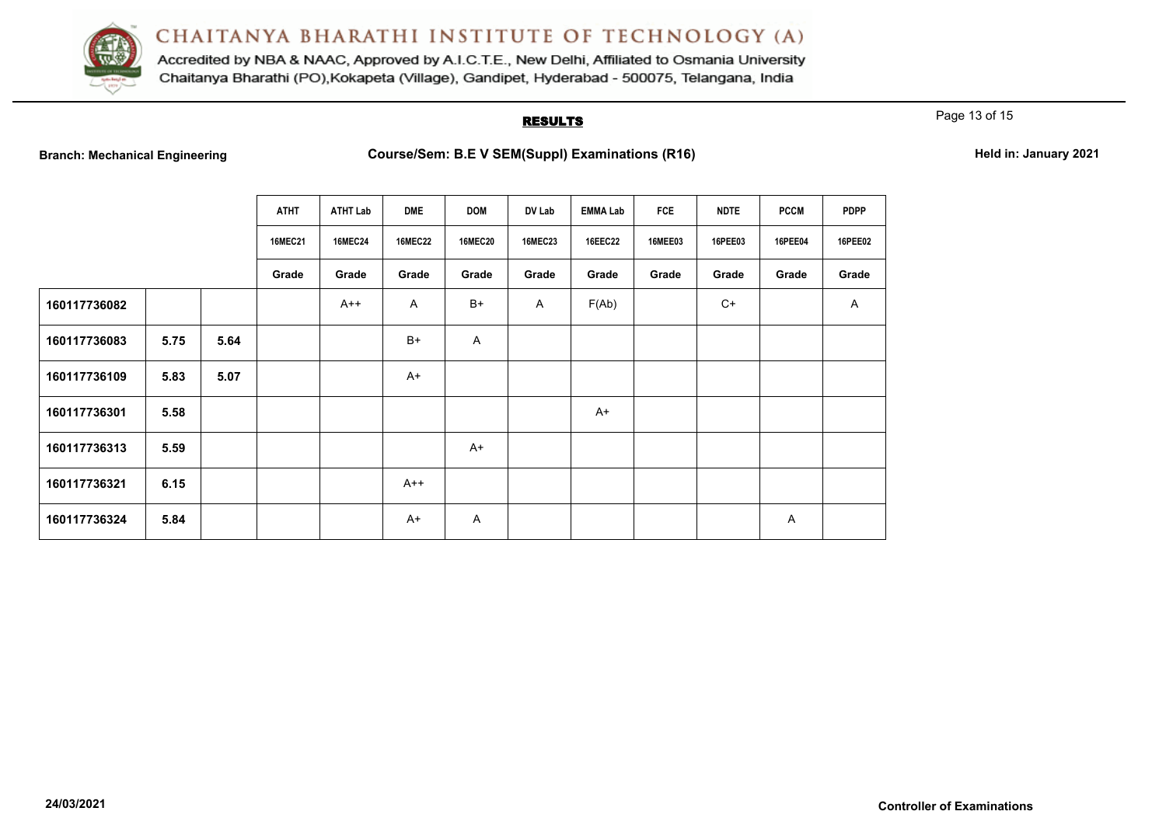

Accredited by NBA & NAAC, Approved by A.I.C.T.E., New Delhi, Affiliated to Osmania University Chaitanya Bharathi (PO), Kokapeta (Village), Gandipet, Hyderabad - 500075, Telangana, India

### **RESULTS**

Page 13 of 15

**Branch: Arrow B.E V SEM(Suppl) Examinations (R16) Held in: January 2021 Held in: January 2021** 

|              |      |      | <b>ATHT</b>    | ATHT Lab       | <b>DME</b>     | <b>DOM</b>     | DV Lab         | EMMA Lab | FCE            | <b>NDTE</b> | <b>PCCM</b> | <b>PDPP</b>    |
|--------------|------|------|----------------|----------------|----------------|----------------|----------------|----------|----------------|-------------|-------------|----------------|
|              |      |      | <b>16MEC21</b> | <b>16MEC24</b> | <b>16MEC22</b> | <b>16MEC20</b> | <b>16MEC23</b> | 16EEC22  | <b>16MEE03</b> | 16PEE03     | 16PEE04     | <b>16PEE02</b> |
|              |      |      | Grade          | Grade          | Grade          | Grade          | Grade          | Grade    | Grade          | Grade       | Grade       | Grade          |
| 160117736082 |      |      |                | $A++$          | $\mathsf{A}$   | B+             | A              | F(Ab)    |                | $C+$        |             | A              |
| 160117736083 | 5.75 | 5.64 |                |                | B+             | A              |                |          |                |             |             |                |
| 160117736109 | 5.83 | 5.07 |                |                | $A+$           |                |                |          |                |             |             |                |
| 160117736301 | 5.58 |      |                |                |                |                |                | $A+$     |                |             |             |                |
| 160117736313 | 5.59 |      |                |                |                | $A+$           |                |          |                |             |             |                |
| 160117736321 | 6.15 |      |                |                | $A++$          |                |                |          |                |             |             |                |
| 160117736324 | 5.84 |      |                |                | $A+$           | A              |                |          |                |             | Α           |                |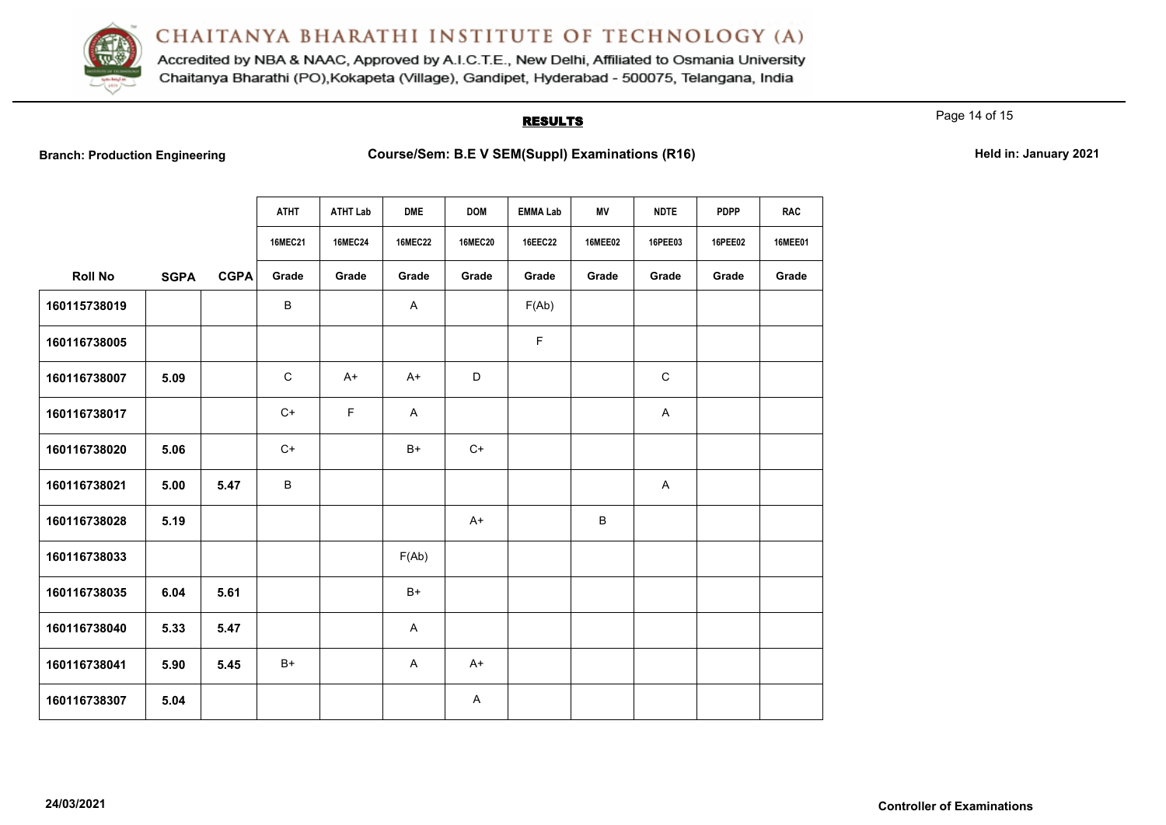

Accredited by NBA & NAAC, Approved by A.I.C.T.E., New Delhi, Affiliated to Osmania University Chaitanya Bharathi (PO), Kokapeta (Village), Gandipet, Hyderabad - 500075, Telangana, India

#### **RESULTS**

Page 14 of 15

Branch: Production Engineering **Course/Sem: B.E V SEM(Suppl) Examinations (R16)** Held in: January 2021

|                |             |             | <b>ATHT</b>    | <b>ATHT Lab</b> | <b>DME</b>     | <b>DOM</b>     | <b>EMMA Lab</b> | ΜV             | <b>NDTE</b> | <b>PDPP</b>    | <b>RAC</b>     |
|----------------|-------------|-------------|----------------|-----------------|----------------|----------------|-----------------|----------------|-------------|----------------|----------------|
|                |             |             | <b>16MEC21</b> | <b>16MEC24</b>  | <b>16MEC22</b> | <b>16MEC20</b> | <b>16EEC22</b>  | <b>16MEE02</b> | 16PEE03     | <b>16PEE02</b> | <b>16MEE01</b> |
| <b>Roll No</b> | <b>SGPA</b> | <b>CGPA</b> | Grade          | Grade           | Grade          | Grade          | Grade           | Grade          | Grade       | Grade          | Grade          |
| 160115738019   |             |             | B              |                 | A              |                | F(Ab)           |                |             |                |                |
| 160116738005   |             |             |                |                 |                |                | F               |                |             |                |                |
| 160116738007   | 5.09        |             | $\mathbf C$    | $A+$            | $A+$           | $\mathsf D$    |                 |                | $\mathsf C$ |                |                |
| 160116738017   |             |             | $C+$           | $\mathsf F$     | A              |                |                 |                | A           |                |                |
| 160116738020   | 5.06        |             | $C+$           |                 | $B+$           | $C+$           |                 |                |             |                |                |
| 160116738021   | 5.00        | 5.47        | B              |                 |                |                |                 |                | A           |                |                |
| 160116738028   | 5.19        |             |                |                 |                | $A+$           |                 | B              |             |                |                |
| 160116738033   |             |             |                |                 | F(Ab)          |                |                 |                |             |                |                |
| 160116738035   | 6.04        | 5.61        |                |                 | $B+$           |                |                 |                |             |                |                |
| 160116738040   | 5.33        | 5.47        |                |                 | A              |                |                 |                |             |                |                |
| 160116738041   | 5.90        | 5.45        | $B+$           |                 | A              | $A+$           |                 |                |             |                |                |
| 160116738307   | 5.04        |             |                |                 |                | A              |                 |                |             |                |                |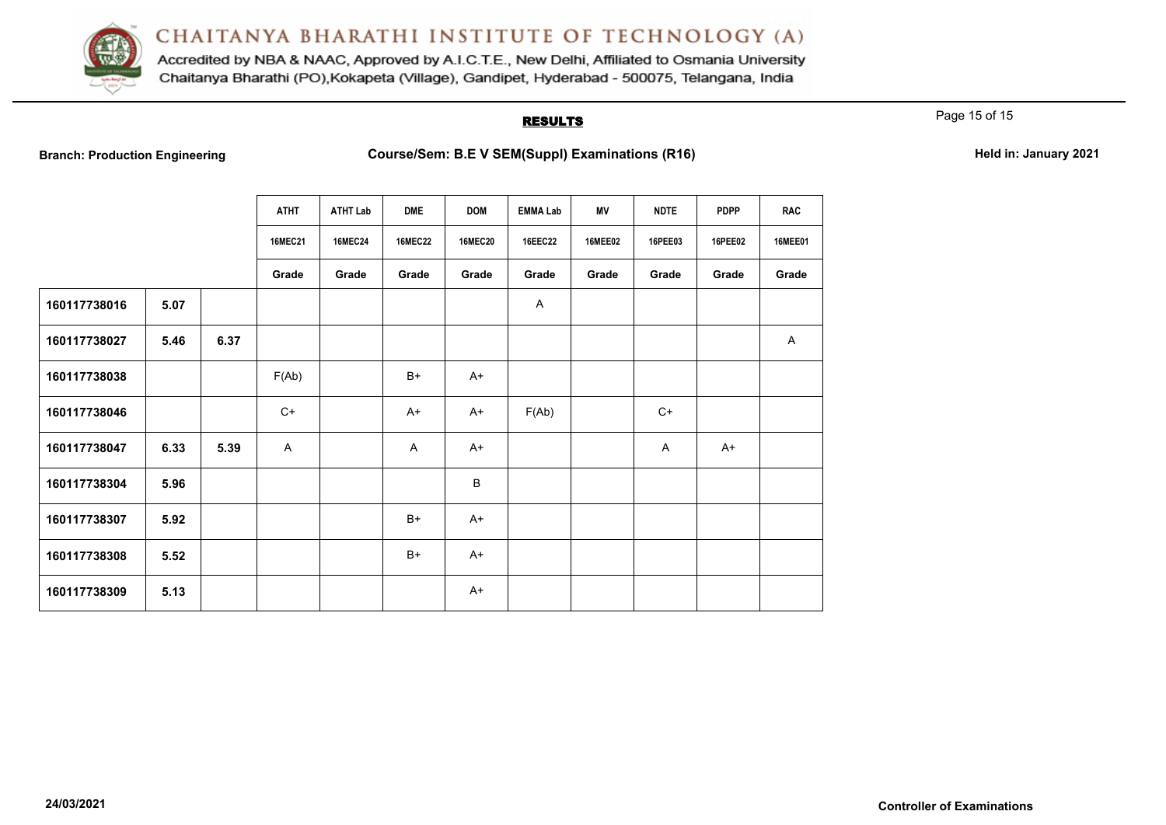

Accredited by NBA & NAAC, Approved by A.I.C.T.E., New Delhi, Affiliated to Osmania University Chaitanya Bharathi (PO), Kokapeta (Village), Gandipet, Hyderabad - 500075, Telangana, India

#### **RESULTS**

Page 15 of 15

**Branch: Branch: Production Examinations (R16) Course/Sem: B.E V SEM(Suppl) Examinations (R16) Held in: January 2021** 

|              |      |      | <b>ATHT</b>    | <b>ATHT Lab</b> | <b>DME</b>     | <b>DOM</b>     | <b>EMMA Lab</b> | ΜV             | <b>NDTE</b> | <b>PDPP</b>    | <b>RAC</b>     |
|--------------|------|------|----------------|-----------------|----------------|----------------|-----------------|----------------|-------------|----------------|----------------|
|              |      |      | <b>16MEC21</b> | <b>16MEC24</b>  | <b>16MEC22</b> | <b>16MEC20</b> | <b>16EEC22</b>  | <b>16MEE02</b> | 16PEE03     | <b>16PEE02</b> | <b>16MEE01</b> |
|              |      |      | Grade          | Grade           | Grade          | Grade          | Grade           | Grade          | Grade       | Grade          | Grade          |
| 160117738016 | 5.07 |      |                |                 |                |                | A               |                |             |                |                |
| 160117738027 | 5.46 | 6.37 |                |                 |                |                |                 |                |             |                | $\mathsf{A}$   |
| 160117738038 |      |      | F(Ab)          |                 | $B+$           | $A+$           |                 |                |             |                |                |
| 160117738046 |      |      | $C+$           |                 | $A+$           | $A+$           | F(Ab)           |                | $C+$        |                |                |
| 160117738047 | 6.33 | 5.39 | $\mathsf{A}$   |                 | A              | $A+$           |                 |                | A           | $A+$           |                |
| 160117738304 | 5.96 |      |                |                 |                | $\sf B$        |                 |                |             |                |                |
| 160117738307 | 5.92 |      |                |                 | $B+$           | $A+$           |                 |                |             |                |                |
| 160117738308 | 5.52 |      |                |                 | $B+$           | $A+$           |                 |                |             |                |                |
| 160117738309 | 5.13 |      |                |                 |                | $A+$           |                 |                |             |                |                |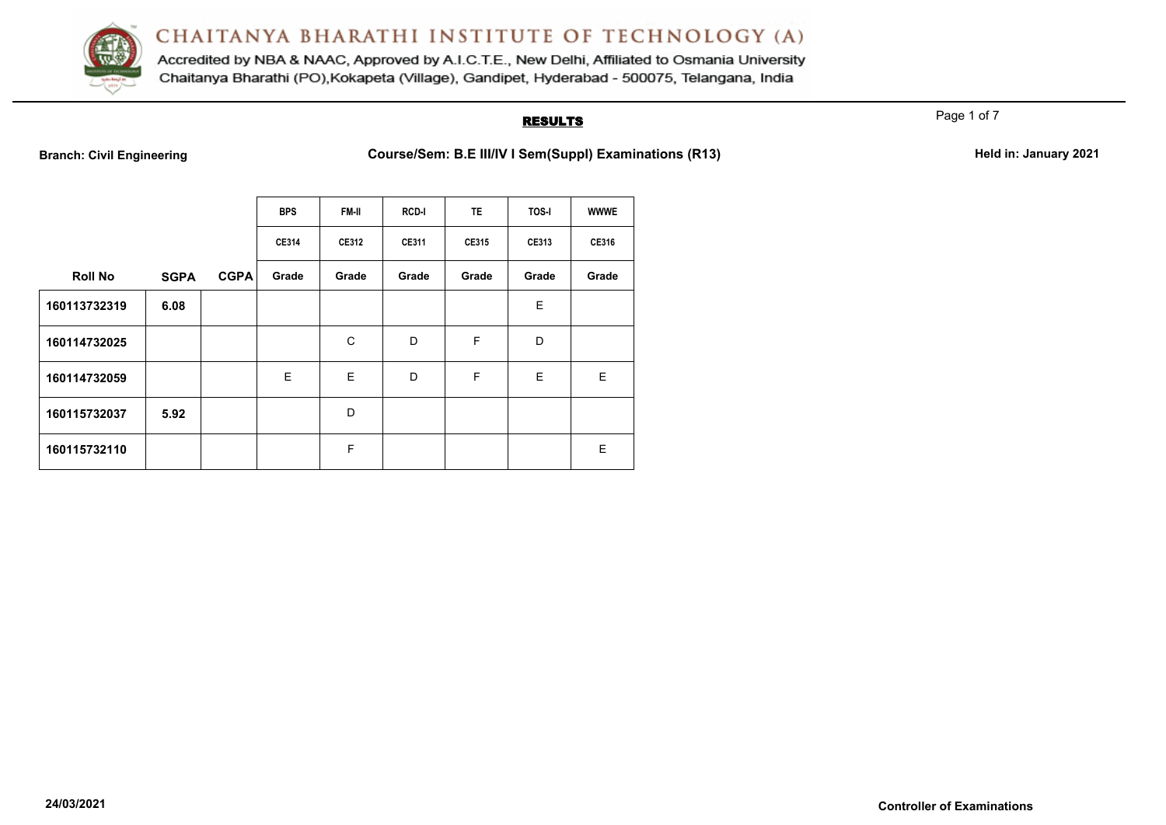

Accredited by NBA & NAAC, Approved by A.I.C.T.E., New Delhi, Affiliated to Osmania University Chaitanya Bharathi (PO), Kokapeta (Village), Gandipet, Hyderabad - 500075, Telangana, India

#### **RESULTS**

Page 1 of 7

Branch: Civil Engineering **Course/Sem: B.E III/IV I Sem(Suppl) Examinations (R13)** Held in: January 2021

|                |             |             | <b>BPS</b>   | <b>FM-II</b> | <b>RCD-I</b> | <b>TE</b> | TOS-I | <b>WWWE</b> |
|----------------|-------------|-------------|--------------|--------------|--------------|-----------|-------|-------------|
|                |             |             | <b>CE314</b> | CE312        | CE311        | CE315     | CE313 | CE316       |
| <b>Roll No</b> | <b>SGPA</b> | <b>CGPA</b> | Grade        | Grade        | Grade        | Grade     | Grade | Grade       |
| 160113732319   | 6.08        |             |              |              |              |           | E     |             |
| 160114732025   |             |             |              | C            | D            | F         | D     |             |
| 160114732059   |             |             | E            | E            | D            | F         | E     | E           |
| 160115732037   | 5.92        |             |              | D            |              |           |       |             |
| 160115732110   |             |             |              | F            |              |           |       | E           |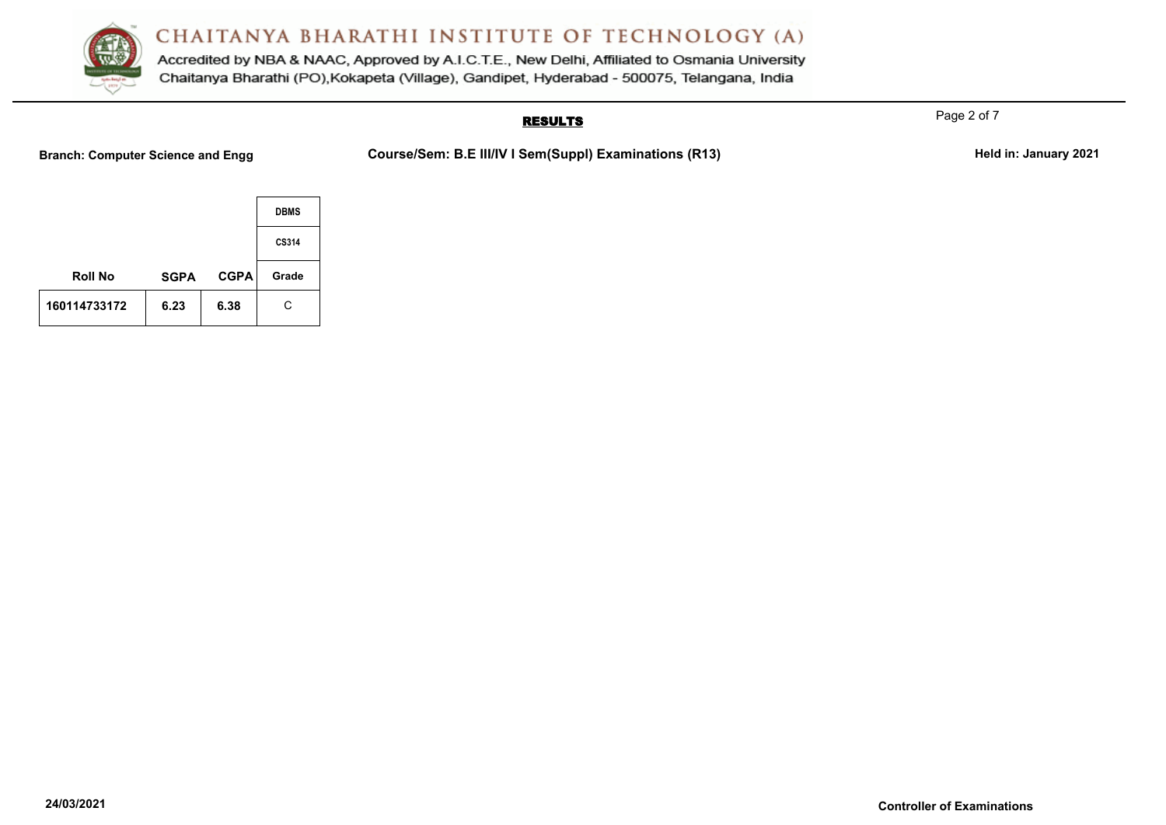

Accredited by NBA & NAAC, Approved by A.I.C.T.E., New Delhi, Affiliated to Osmania University Chaitanya Bharathi (PO), Kokapeta (Village), Gandipet, Hyderabad - 500075, Telangana, India

## **RESULTS**

Branch: Computer Science and Engg **Course/Sem: B.E III/IV I Sem(Suppl) Examinations (R13)** Held in: January 2021

|                |             |             | <b>DBMS</b> |
|----------------|-------------|-------------|-------------|
|                |             |             | CS314       |
| <b>Roll No</b> | <b>SGPA</b> | <b>CGPA</b> | Grade       |
| 160114733172   | 6.23        | 6.38        | C           |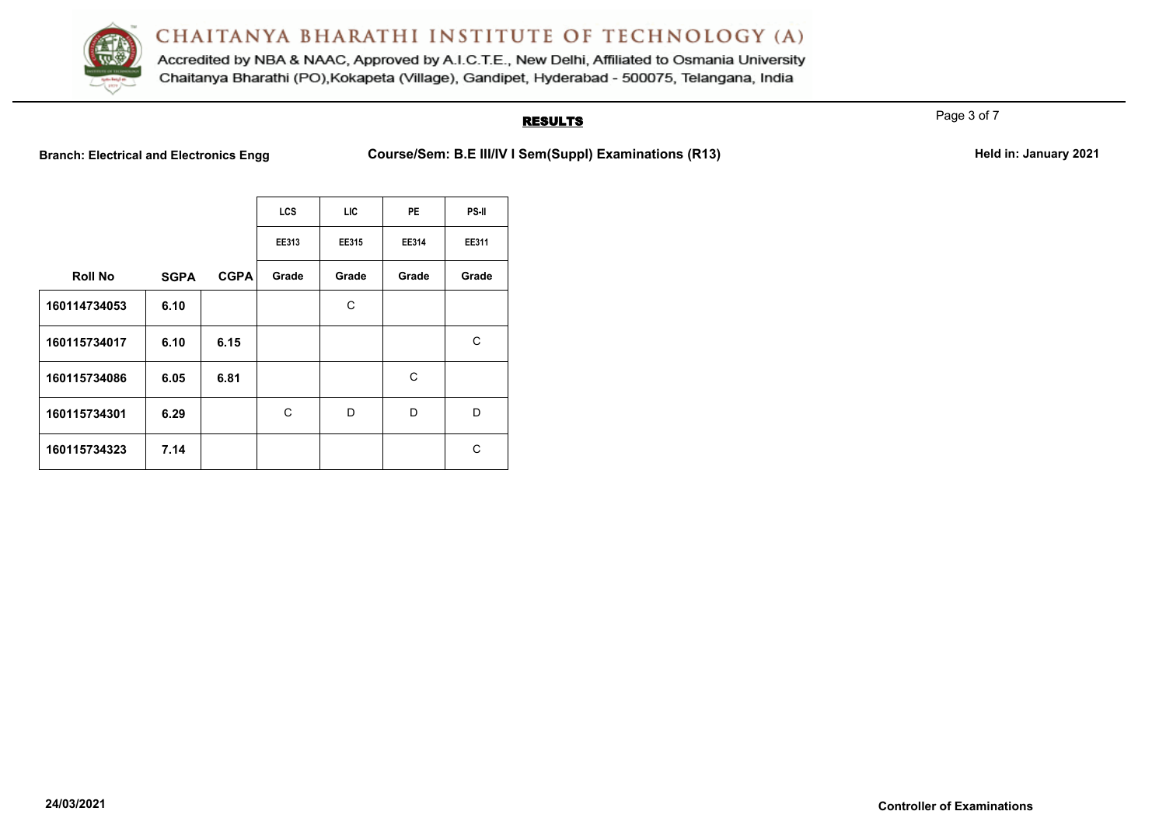

Accredited by NBA & NAAC, Approved by A.I.C.T.E., New Delhi, Affiliated to Osmania University Chaitanya Bharathi (PO), Kokapeta (Village), Gandipet, Hyderabad - 500075, Telangana, India

## **RESULTS**

Page 3 of 7

Branch: Electrical and Electronics Engg **Course/Sem: B.E III/IV I Sem(Suppl) Examinations (R13)** Held in: January 2021

|                |             |             | <b>LCS</b> | LIC   | <b>PE</b> | <b>PS-II</b> |
|----------------|-------------|-------------|------------|-------|-----------|--------------|
|                |             |             | EE313      | EE315 | EE314     | EE311        |
| <b>Roll No</b> | <b>SGPA</b> | <b>CGPA</b> | Grade      | Grade | Grade     | Grade        |
| 160114734053   | 6.10        |             |            | С     |           |              |
| 160115734017   | 6.10        | 6.15        |            |       |           | С            |
| 160115734086   | 6.05        | 6.81        |            |       | C         |              |
| 160115734301   | 6.29        |             | C          | D     | D         | D            |
| 160115734323   | 7.14        |             |            |       |           | С            |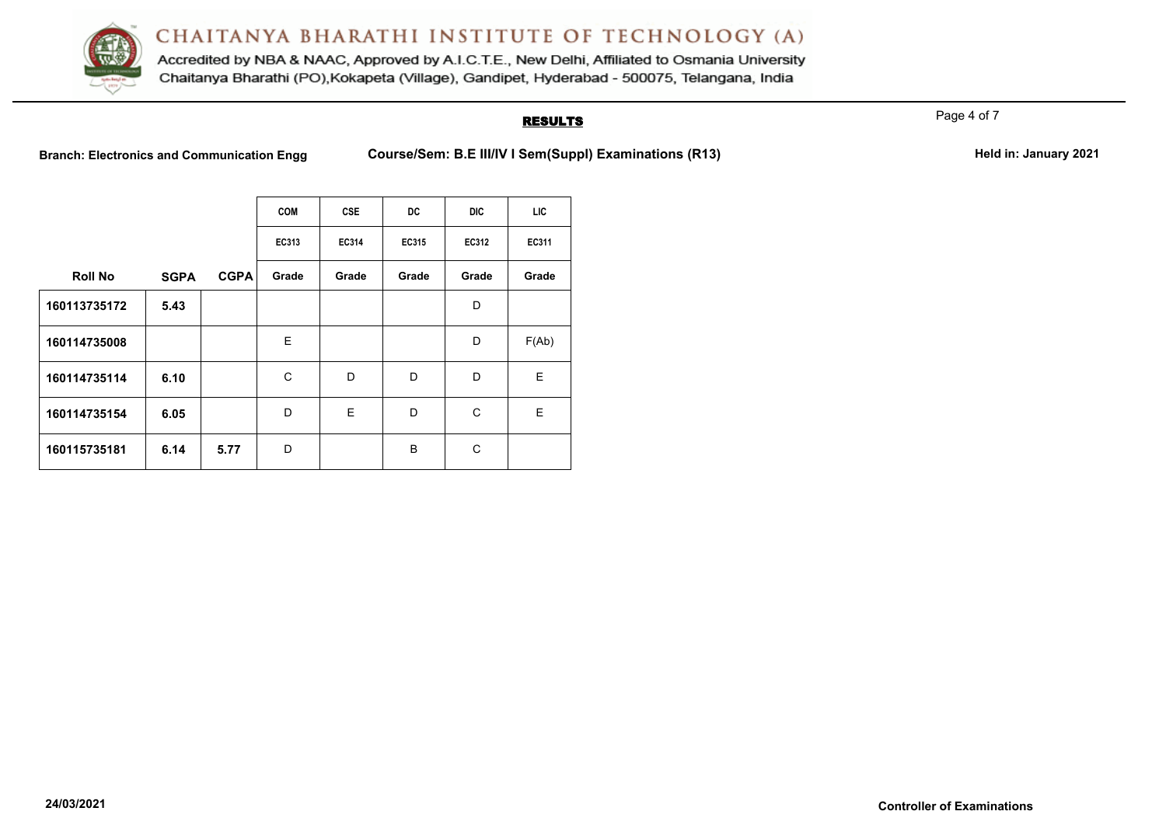

Accredited by NBA & NAAC, Approved by A.I.C.T.E., New Delhi, Affiliated to Osmania University Chaitanya Bharathi (PO), Kokapeta (Village), Gandipet, Hyderabad - 500075, Telangana, India

#### **RESULTS**

Page 4 of 7

Branch: Electronics and Communication Engg Course/Sem: B.E III/IV I Sem(Suppl) Examinations (R13) Held in: January 2021

|                |             |             | <b>COM</b> | <b>CSE</b> | DC    | DIC   | LIC   |
|----------------|-------------|-------------|------------|------------|-------|-------|-------|
|                |             |             | EC313      | EC314      | EC315 | EC312 | EC311 |
| <b>Roll No</b> | <b>SGPA</b> | <b>CGPA</b> | Grade      | Grade      | Grade | Grade | Grade |
| 160113735172   | 5.43        |             |            |            |       | D     |       |
| 160114735008   |             |             | E          |            |       | D     | F(Ab) |
| 160114735114   | 6.10        |             | C          | D          | D     | D     | E.    |
| 160114735154   | 6.05        |             | D          | E          | D     | C     | E     |
| 160115735181   | 6.14        | 5.77        | D          |            | B     | С     |       |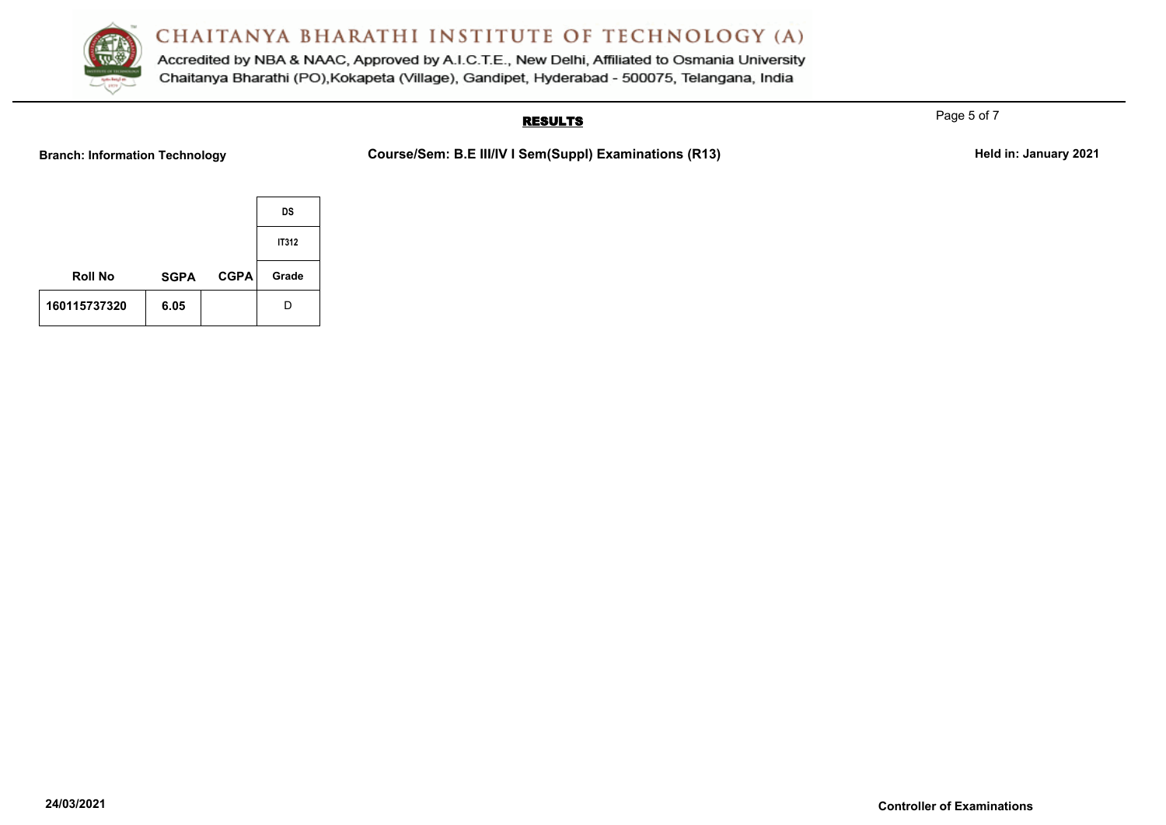

Accredited by NBA & NAAC, Approved by A.I.C.T.E., New Delhi, Affiliated to Osmania University Chaitanya Bharathi (PO), Kokapeta (Village), Gandipet, Hyderabad - 500075, Telangana, India

## **RESULTS**

Branch: Information Technology **Course/Sem: B.E III/IV I Sem(Suppl) Examinations (R13)** Held in: January 2021

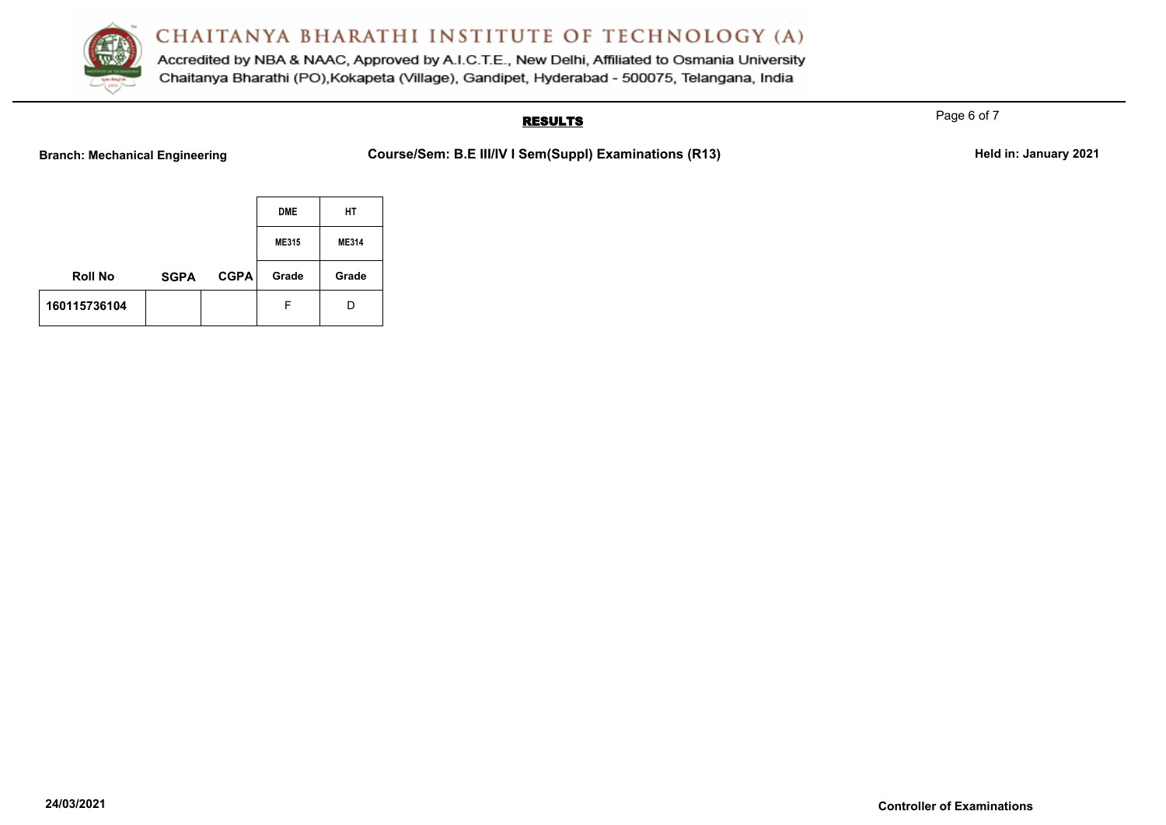

Accredited by NBA & NAAC, Approved by A.I.C.T.E., New Delhi, Affiliated to Osmania University Chaitanya Bharathi (PO), Kokapeta (Village), Gandipet, Hyderabad - 500075, Telangana, India

## **RESULTS**

Branch: Mechanical Engineering **Course/Sem: B.E III/IV I Sem(Suppl) Examinations (R13)** Held in: January 2021

|                |             |             | <b>DME</b> | НT           |
|----------------|-------------|-------------|------------|--------------|
|                |             |             | ME315      | <b>ME314</b> |
| <b>Roll No</b> | <b>SGPA</b> | <b>CGPA</b> | Grade      | Grade        |
| 160115736104   |             |             | F          | D            |